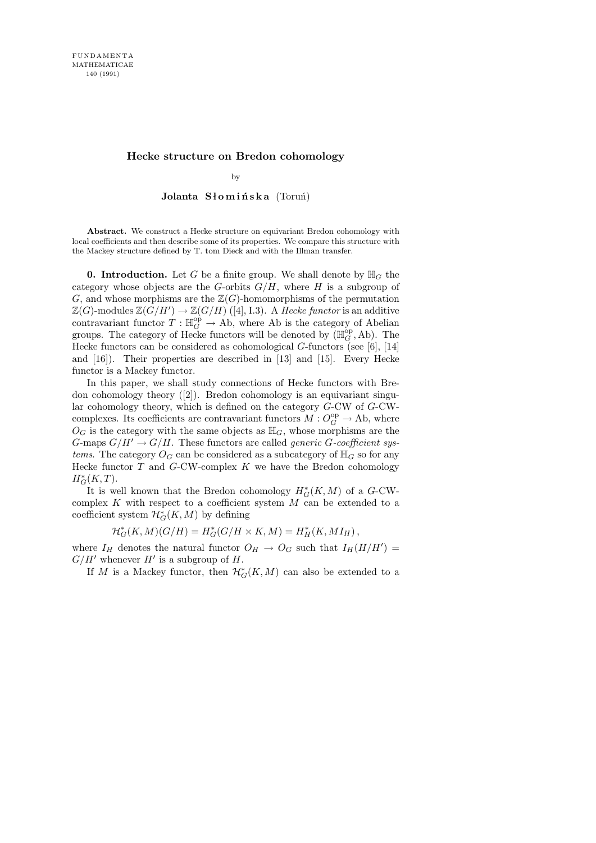# Hecke structure on Bredon cohomology

by

# Jolanta Słomińska (Toruń)

Abstract. We construct a Hecke structure on equivariant Bredon cohomology with local coefficients and then describe some of its properties. We compare this structure with the Mackey structure defined by T. tom Dieck and with the Illman transfer.

**0. Introduction.** Let G be a finite group. We shall denote by  $\mathbb{H}_G$  the category whose objects are the G-orbits  $G/H$ , where H is a subgroup of G, and whose morphisms are the  $\mathbb{Z}(G)$ -homomorphisms of the permutation  $\mathbb{Z}(G)$ -modules  $\mathbb{Z}(G/H') \to \mathbb{Z}(G/H)$  ([4], I.3). A Hecke functor is an additive contravariant functor  $T : \mathbb{H}_G^{\text{op}} \to \text{Ab}$ , where Ab is the category of Abelian groups. The category of Hecke functors will be denoted by  $(\mathbb{H}_G^{\text{op}}, \text{Ab})$ . The Hecke functors can be considered as cohomological G-functors (see [6], [14] and [16]). Their properties are described in [13] and [15]. Every Hecke functor is a Mackey functor.

In this paper, we shall study connections of Hecke functors with Bredon cohomology theory ([2]). Bredon cohomology is an equivariant singular cohomology theory, which is defined on the category G-CW of G-CWcomplexes. Its coefficients are contravariant functors  $M: O_G^{\rm op} \to \operatorname{Ab}$ , where  $O_G$  is the category with the same objects as  $\mathbb{H}_G$ , whose morphisms are the G-maps  $G/H' \to G/H$ . These functors are called *generic G-coefficient sys*tems. The category  $O_G$  can be considered as a subcategory of  $\mathbb{H}_G$  so for any Hecke functor  $T$  and  $G$ -CW-complex  $K$  we have the Bredon cohomology  $H^*_G(K,T)$ .

It is well known that the Bredon cohomology  $H^*_{G}(K, M)$  of a G-CWcomplex  $K$  with respect to a coefficient system  $M$  can be extended to a coefficient system  $\mathcal{H}^*_{G}(K,M)$  by defining

$$
\mathcal{H}^*_G(K,M)(G/H)=H^*_G(G/H\times K,M)=H^*_H(K,MI_H)\,,
$$

where  $I_H$  denotes the natural functor  $O_H \rightarrow O_G$  such that  $I_H(H/H') =$  $G/H'$  whenever  $H'$  is a subgroup of  $H$ .

If M is a Mackey functor, then  $\mathcal{H}^*_{G}(K,M)$  can also be extended to a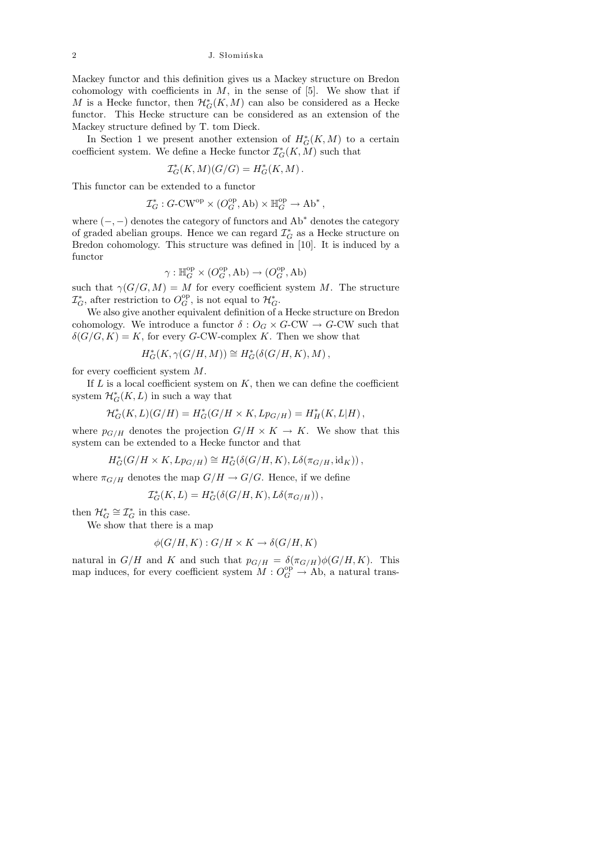Mackey functor and this definition gives us a Mackey structure on Bredon cohomology with coefficients in  $M$ , in the sense of [5]. We show that if M is a Hecke functor, then  $\mathcal{H}^*_{G}(K,M)$  can also be considered as a Hecke functor. This Hecke structure can be considered as an extension of the Mackey structure defined by T. tom Dieck.

In Section 1 we present another extension of  $H^*_{G}(K, M)$  to a certain coefficient system. We define a Hecke functor  $\mathcal{I}_G^{*}(K,M)$  such that

$$
\mathcal{I}_G^*(K,M)(G/G)=H_G^*(K,M)\,.
$$

This functor can be extended to a functor

$$
\mathcal{I}_G^* : G\text{-}\mathrm{CW}^\mathrm{op} \times (O_G^\mathrm{op},\mathrm{Ab}) \times \mathbb{H}_G^\mathrm{op} \to \mathrm{Ab}^*,
$$

where  $(-, -)$  denotes the category of functors and  $Ab^*$  denotes the category of graded abelian groups. Hence we can regard  $\mathcal{I}^*_G$  as a Hecke structure on Bredon cohomology. This structure was defined in [10]. It is induced by a functor

$$
\gamma: \mathbb{H}_{G}^{\text{op}}\times (O_{G}^{\text{op}},\text{Ab})\to (O_{G}^{\text{op}},\text{Ab})
$$

such that  $\gamma(G/G, M) = M$  for every coefficient system M. The structure  $\mathcal{I}_{G}^*$ , after restriction to  $O_G^{\text{op}}$ , is not equal to  $\mathcal{H}_G^*$ .

We also give another equivalent definition of a Hecke structure on Bredon cohomology. We introduce a functor  $\delta: O_G \times G\text{-CW} \to G\text{-CW}$  such that  $\delta(G/G, K) = K$ , for every G-CW-complex K. Then we show that

$$
H_G^*(K, \gamma(G/H, M)) \cong H_G^*(\delta(G/H, K), M),
$$

for every coefficient system M.

If  $L$  is a local coefficient system on  $K$ , then we can define the coefficient system  $\mathcal{H}^*_{G}(K,L)$  in such a way that

$$
\mathcal{H}_G^*(K, L)(G/H) = H_G^*(G/H \times K, Lp_{G/H}) = H_H^*(K, L|H),
$$

where  $p_{G/H}$  denotes the projection  $G/H \times K \to K$ . We show that this system can be extended to a Hecke functor and that

$$
H^*_G(G/H\times K, Lp_{G/H})\cong H^*_G(\delta(G/H, K), L\delta(\pi_{G/H}, \mathrm{id}_K)),
$$

where  $\pi_{G/H}$  denotes the map  $G/H \to G/G$ . Hence, if we define

$$
\mathcal{I}_G^*(K,L) = H_G^*(\delta(G/H, K), L\delta(\pi_{G/H}))
$$

then  $\mathcal{H}_G^* \cong \mathcal{I}_G^*$  in this case.

We show that there is a map

$$
\phi(G/H, K) : G/H \times K \to \delta(G/H, K)
$$

natural in  $G/H$  and K and such that  $p_{G/H} = \delta(\pi_{G/H})\phi(G/H, K)$ . This map induces, for every coefficient system  $M: O_G^{\text{op}} \to \text{Ab}$ , a natural trans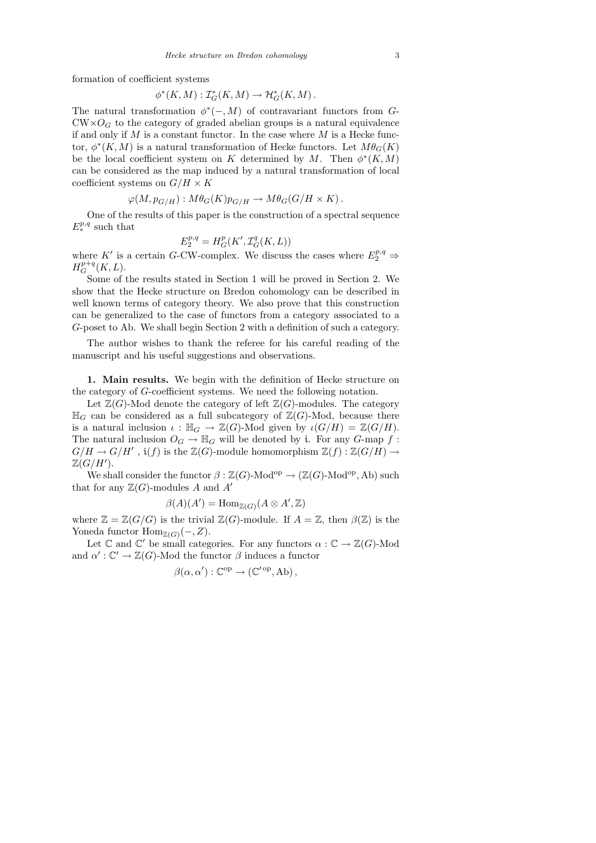formation of coefficient systems

$$
\phi^*(K,M): \mathcal{I}_G^*(K,M) \to \mathcal{H}_G^*(K,M).
$$

The natural transformation  $\phi^*(-, M)$  of contravariant functors from G- $\text{CW} \times O_G$  to the category of graded abelian groups is a natural equivalence if and only if  $M$  is a constant functor. In the case where  $M$  is a Hecke functor,  $\phi^*(K, M)$  is a natural transformation of Hecke functors. Let  $M\theta_G(K)$ be the local coefficient system on K determined by M. Then  $\phi^*(K, M)$ can be considered as the map induced by a natural transformation of local coefficient systems on  $G/H \times K$ 

$$
\varphi(M, p_{G/H}) : M\theta_G(K)p_{G/H} \to M\theta_G(G/H \times K).
$$

One of the results of this paper is the construction of a spectral sequence  $E^{p,q}_*$  such that

$$
E_2^{p,q} = H^p_G(K', \mathcal{I}^q_G(K, L))
$$

where  $K'$  is a certain G-CW-complex. We discuss the cases where  $E_2^{p,q} \Rightarrow$  $H_G^{p+q}(K,L).$ 

Some of the results stated in Section 1 will be proved in Section 2. We show that the Hecke structure on Bredon cohomology can be described in well known terms of category theory. We also prove that this construction can be generalized to the case of functors from a category associated to a G-poset to Ab. We shall begin Section 2 with a definition of such a category.

The author wishes to thank the referee for his careful reading of the manuscript and his useful suggestions and observations.

1. Main results. We begin with the definition of Hecke structure on the category of G-coefficient systems. We need the following notation.

Let  $\mathbb{Z}(G)$ -Mod denote the category of left  $\mathbb{Z}(G)$ -modules. The category  $\mathbb{H}_G$  can be considered as a full subcategory of  $\mathbb{Z}(G)$ -Mod, because there is a natural inclusion  $\iota : \mathbb{H}_G \to \mathbb{Z}(G)$ -Mod given by  $\iota(G/H) = \mathbb{Z}(G/H)$ . The natural inclusion  $O_G \to \mathbb{H}_G$  will be denoted by i. For any G-map f:  $G/H \to G/H'$ ,  $\mathfrak{i}(f)$  is the  $\mathbb{Z}(G)$ -module homomorphism  $\mathbb{Z}(f): \mathbb{Z}(G/H) \to$  $\mathbb{Z}(G/H').$ 

We shall consider the functor  $\beta : \mathbb{Z}(G)$ -Mod<sup>op</sup>  $\rightarrow (\mathbb{Z}(G)$ -Mod<sup>op</sup>, Ab) such that for any  $\mathbb{Z}(G)$ -modules A and A'

$$
\beta(A)(A') = \text{Hom}_{\mathbb{Z}(G)}(A \otimes A', \mathbb{Z})
$$

where  $\mathbb{Z} = \mathbb{Z}(G/G)$  is the trivial  $\mathbb{Z}(G)$ -module. If  $A = \mathbb{Z}$ , then  $\beta(\mathbb{Z})$  is the Yoneda functor  $\text{Hom}_{\mathbb{Z}(G)}(-,Z)$ .

Let  $\mathbb C$  and  $\mathbb C'$  be small categories. For any functors  $\alpha : \mathbb C \to \mathbb Z(G)$ -Mod and  $\alpha': \mathbb{C}' \to \mathbb{Z}(G)$ -Mod the functor  $\beta$  induces a functor

$$
\beta(\alpha, \alpha') : \mathbb{C}^{\mathrm{op}} \to (\mathbb{C}'^{\mathrm{op}}, \mathrm{Ab}),
$$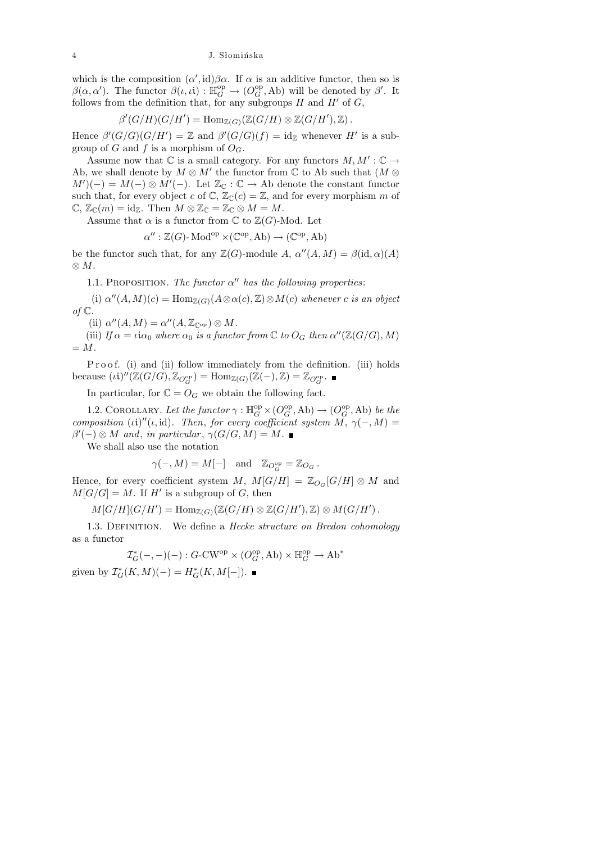which is the composition  $(\alpha', id)\beta\alpha$ . If  $\alpha$  is an additive functor, then so is  $\beta(\alpha, \alpha')$ . The functor  $\beta(\iota, \iota i) : \mathbb{H}_G^{\text{op}} \to (O_G^{\text{op}}, \text{Ab})$  will be denoted by  $\beta'$ . It follows from the definition that, for any subgroups  $H$  and  $H'$  of  $G$ ,

$$
\beta'(G/H)(G/H') = \mathrm{Hom}_{\mathbb{Z}(G)}(\mathbb{Z}(G/H) \otimes \mathbb{Z}(G/H'), \mathbb{Z}).
$$

Hence  $\beta'(G/G)(G/H') = \mathbb{Z}$  and  $\beta'(G/G)(f) = id_{\mathbb{Z}}$  whenever H' is a subgroup of G and f is a morphism of  $O_G$ .

Assume now that  $\mathbb C$  is a small category. For any functors  $M, M': \mathbb C \to$ Ab, we shall denote by  $M \otimes M'$  the functor from  $\mathbb C$  to Ab such that  $(M \otimes$  $M'(-) = M(-) \otimes M'(-)$ . Let  $\mathbb{Z}_{\mathbb{C}} : \mathbb{C} \to \text{Ab}$  denote the constant functor such that, for every object c of  $\mathbb{C}, \mathbb{Z}_{\mathbb{C}}(c) = \mathbb{Z}$ , and for every morphism m of  $\mathbb{C}, \mathbb{Z}_{\mathbb{C}}(m) = id_{\mathbb{Z}}.$  Then  $M \otimes \mathbb{Z}_{\mathbb{C}} = \mathbb{Z}_{\mathbb{C}} \otimes M = M.$ 

Assume that  $\alpha$  is a functor from  $\mathbb C$  to  $\mathbb Z(G)$ -Mod. Let

$$
\alpha'': \mathbb{Z}(G) \text{-} \operatorname{Mod}^{\mathrm{op}} \times (\mathbb{C}^{\mathrm{op}}, \operatorname{Ab}) \to (\mathbb{C}^{\mathrm{op}}, \operatorname{Ab})
$$

be the functor such that, for any  $\mathbb{Z}(G)$ -module  $A, \alpha''(A, M) = \beta(\mathrm{id}, \alpha)(A)$ ⊗ M.

1.1. PROPOSITION. The functor  $\alpha''$  has the following properties:

(i)  $\alpha''(A,M)(c) = \text{Hom}_{\mathbb{Z}(G)}(A \otimes \alpha(c), \mathbb{Z}) \otimes M(c)$  whenever c is an object of  $\mathbb C$ .

(ii)  $\alpha''(A,M) = \alpha''(A,\mathbb{Z}_{\mathbb{C}^{\mathrm{op}}}) \otimes M$ .

(iii) If  $\alpha = \iota i \alpha_0$  where  $\alpha_0$  is a functor from  $\mathbb C$  to  $O_G$  then  $\alpha''(\mathbb Z(G/G), M)$  $= M$ .

Proof. (i) and (ii) follow immediately from the definition. (iii) holds because  $(i)''(\mathbb{Z}(G/G), \mathbb{Z}_{O_G^{\text{op}}}) = \text{Hom}_{\mathbb{Z}(G)}(\mathbb{Z}(-), \mathbb{Z}) = \mathbb{Z}_{O_G^{\text{op}}}.$ 

In particular, for  $\mathbb{C} = O_G$  we obtain the following fact.

1.2. COROLLARY. Let the functor  $\gamma : \mathbb{H}_G^{\rm op} \times (O_G^{\rm op}, \text{Ab}) \to (O_G^{\rm op}, \text{Ab})$  be the composition (ii)"(i, id). Then, for every coefficient system  $\tilde{M}, \gamma(-, M) =$  $\beta'(-) \otimes M$  and, in particular,  $\gamma(G/G, M) = M$ .

We shall also use the notation

$$
\gamma(-, M) = M[-]
$$
 and  $\mathbb{Z}_{O_G^{\text{op}}} = \mathbb{Z}_{O_G}$ .

Hence, for every coefficient system M,  $M[G/H] = \mathbb{Z}_{O_G}[G/H] \otimes M$  and  $M[G/G] = M$ . If H' is a subgroup of G, then

$$
M[G/H](G/H') = \mathrm{Hom}_{\mathbb{Z}(G)}(\mathbb{Z}(G/H) \otimes \mathbb{Z}(G/H'), \mathbb{Z}) \otimes M(G/H').
$$

1.3. DEFINITION. We define a *Hecke structure on Bredon cohomology* as a functor

$$
\mathcal{I}_G^*(-,-)(-): G\text{-}\mathrm{CW}^\mathrm{op} \times (O_G^\mathrm{op},\mathrm{Ab}) \times \mathbb H_G^\mathrm{op} \to \mathrm{Ab}^*
$$

given by  $\mathcal{I}_G^*(K,M)(-) = H_G^*(K,M[-]).$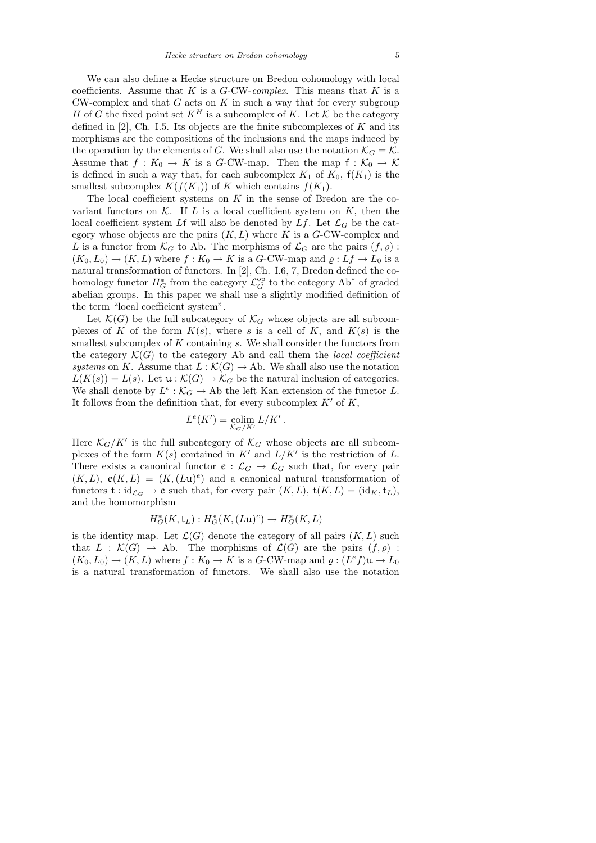We can also define a Hecke structure on Bredon cohomology with local coefficients. Assume that  $K$  is a  $G$ -CW-complex. This means that  $K$  is a  $CW$ -complex and that  $G$  acts on  $K$  in such a way that for every subgroup H of G the fixed point set  $K^H$  is a subcomplex of K. Let K be the category defined in  $[2]$ , Ch. I.5. Its objects are the finite subcomplexes of K and its morphisms are the compositions of the inclusions and the maps induced by the operation by the elements of G. We shall also use the notation  $\mathcal{K}_G = \mathcal{K}$ . Assume that  $f: K_0 \to K$  is a G-CW-map. Then the map  $f: K_0 \to K$ is defined in such a way that, for each subcomplex  $K_1$  of  $K_0$ ,  $f(K_1)$  is the smallest subcomplex  $K(f(K_1))$  of K which contains  $f(K_1)$ .

The local coefficient systems on  $K$  in the sense of Bredon are the covariant functors on K. If L is a local coefficient system on K, then the local coefficient system Lf will also be denoted by  $Lf$ . Let  $\mathcal{L}_G$  be the category whose objects are the pairs  $(K, L)$  where K is a G-CW-complex and L is a functor from  $\mathcal{K}_G$  to Ab. The morphisms of  $\mathcal{L}_G$  are the pairs  $(f, \varrho)$ :  $(K_0, L_0) \to (K, L)$  where  $f : K_0 \to K$  is a G-CW-map and  $\varrho : Lf \to L_0$  is a natural transformation of functors. In [2], Ch. I.6, 7, Bredon defined the cohomology functor  $H_G^*$  from the category  $\mathcal{L}_G^{\text{op}}$  to the category  $Ab^*$  of graded abelian groups. In this paper we shall use a slightly modified definition of the term "local coefficient system".

Let  $\mathcal{K}(G)$  be the full subcategory of  $\mathcal{K}_G$  whose objects are all subcomplexes of K of the form  $K(s)$ , where s is a cell of K, and  $K(s)$  is the smallest subcomplex of  $K$  containing  $s$ . We shall consider the functors from the category  $\mathcal{K}(G)$  to the category Ab and call them the local coefficient systems on K. Assume that  $L : \mathcal{K}(G) \to \text{Ab}$ . We shall also use the notation  $L(K(s)) = L(s)$ . Let  $\mathfrak{u}: \mathcal{K}(G) \to \mathcal{K}_G$  be the natural inclusion of categories. We shall denote by  $L^e : \mathcal{K}_G \to \text{Ab}$  the left Kan extension of the functor L. It follows from the definition that, for every subcomplex  $K'$  of  $K$ ,

$$
L^{e}(K') = \operatorname*{colim}_{\mathcal{K}_G/K'} L/K'.
$$

Here  $\mathcal{K}_G/K'$  is the full subcategory of  $\mathcal{K}_G$  whose objects are all subcomplexes of the form  $K(s)$  contained in  $K'$  and  $L/K'$  is the restriction of L. There exists a canonical functor  $e : \mathcal{L}_G \to \mathcal{L}_G$  such that, for every pair  $(K, L)$ ,  $e(K, L) = (K, (L\mathfrak{u})^e)$  and a canonical natural transformation of functors  $t : id_{\mathcal{L}_G} \to e$  such that, for every pair  $(K, L), t(K, L) = (id_K, t_L),$ and the homomorphism

$$
H^*_G(K, \mathsf{t}_L): H^*_G(K, (L\mathfrak{u})^e) \to H^*_G(K, L)
$$

is the identity map. Let  $\mathcal{L}(G)$  denote the category of all pairs  $(K, L)$  such that  $L : \mathcal{K}(G) \to Ab$ . The morphisms of  $\mathcal{L}(G)$  are the pairs  $(f, \rho)$ :  $(K_0, L_0) \to (K, L)$  where  $f: K_0 \to K$  is a G-CW-map and  $\varrho: (L^e f) \mathfrak{u} \to L_0$ is a natural transformation of functors. We shall also use the notation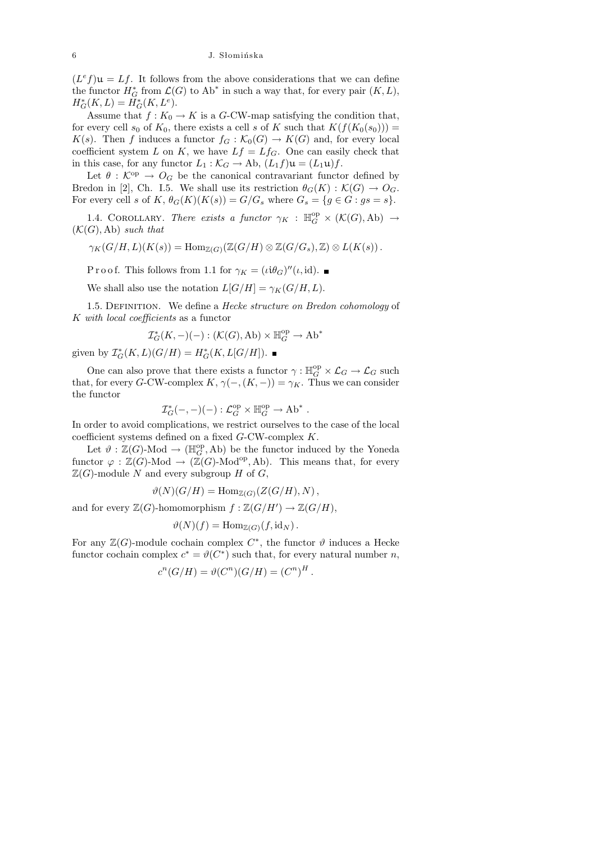$(L<sup>e</sup>f)u = Lf$ . It follows from the above considerations that we can define the functor  $H^*_G$  from  $\mathcal{L}(G)$  to  $Ab^*$  in such a way that, for every pair  $(K, L)$ ,  $H^*_{G}(K, L) = H^*_{G}(K, L^e).$ 

Assume that  $f: K_0 \to K$  is a G-CW-map satisfying the condition that, for every cell  $s_0$  of  $K_0$ , there exists a cell s of K such that  $K(f(K_0(s_0)))$  =  $K(s)$ . Then f induces a functor  $f_G : \mathcal{K}_0(G) \to K(G)$  and, for every local coefficient system L on K, we have  $Lf = Lf_G$ . One can easily check that in this case, for any functor  $L_1 : \mathcal{K}_G \to \text{Ab}, (L_1 f) \mathfrak{u} = (L_1 \mathfrak{u}) f.$ 

Let  $\theta : \mathcal{K}^{\mathrm{op}} \to O_G$  be the canonical contravariant functor defined by Bredon in [2], Ch. I.5. We shall use its restriction  $\theta_G(K): \mathcal{K}(G) \to O_G$ . For every cell s of K,  $\theta_G(K)(K(s)) = G/G_s$  where  $G_s = \{g \in G : gs = s\}.$ 

1.4. COROLLARY. There exists a functor  $\gamma_K$  :  $\mathbb{H}_G^{\rm op} \times (\mathcal{K}(G),\mathrm{Ab}) \to$  $(\mathcal{K}(G), Ab)$  such that

$$
\gamma_K(G/H, L)(K(s)) = \mathrm{Hom}_{\mathbb{Z}(G)}(\mathbb{Z}(G/H) \otimes \mathbb{Z}(G/G_s), \mathbb{Z}) \otimes L(K(s)).
$$

P r o o f. This follows from 1.1 for  $\gamma_K = (\iota i \theta_G)''(\iota, id)$ .

We shall also use the notation  $L[G/H] = \gamma_K(G/H, L)$ .

1.5. DEFINITION. We define a *Hecke structure on Bredon cohomology* of K with local coefficients as a functor

$$
\mathcal{I}_G^*(K,-)(-):(\mathcal{K}(G),\mathrm{Ab})\times \mathbb{H}_G^{\rm op}\to \mathrm{Ab}^*
$$

given by  $\mathcal{I}_G^*(K, L)(G/H) = H_G^*(K, L[G/H]).$ 

One can also prove that there exists a functor  $\gamma : \mathbb{H}^{\rm op}_G \times {\mathcal L}_G \to {\mathcal L}_G$  such that, for every G-CW-complex K,  $\gamma(-, (K, -)) = \gamma_K$ . Thus we can consider the functor

$$
\mathcal{I}_G^*(-,-)(-): \mathcal{L}_G^{\text{op}} \times \mathbb{H}_G^{\text{op}} \to \text{Ab}^*
$$

.

In order to avoid complications, we restrict ourselves to the case of the local coefficient systems defined on a fixed G-CW-complex K.

Let  $\vartheta$  :  $\mathbb{Z}(G)$ -Mod  $\to (\mathbb{H}_G^{\text{op}}, \text{Ab})$  be the functor induced by the Yoneda functor  $\varphi : \mathbb{Z}(G)$ -Mod  $\to (\mathbb{Z}(G)$ -Mod<sup>op</sup>, Ab). This means that, for every  $\mathbb{Z}(G)$ -module N and every subgroup H of G,

$$
\vartheta(N)(G/H) = \text{Hom}_{\mathbb{Z}(G)}(Z(G/H), N) ,
$$

and for every  $\mathbb{Z}(G)$ -homomorphism  $f : \mathbb{Z}(G/H') \to \mathbb{Z}(G/H)$ ,

$$
\vartheta(N)(f) = \operatorname{Hom}_{\mathbb{Z}(G)}(f, id_N).
$$

For any  $\mathbb{Z}(G)$ -module cochain complex  $C^*$ , the functor  $\vartheta$  induces a Hecke functor cochain complex  $c^* = \vartheta(C^*)$  such that, for every natural number n,

$$
cn(G/H) = \vartheta(Cn)(G/H) = (Cn)H.
$$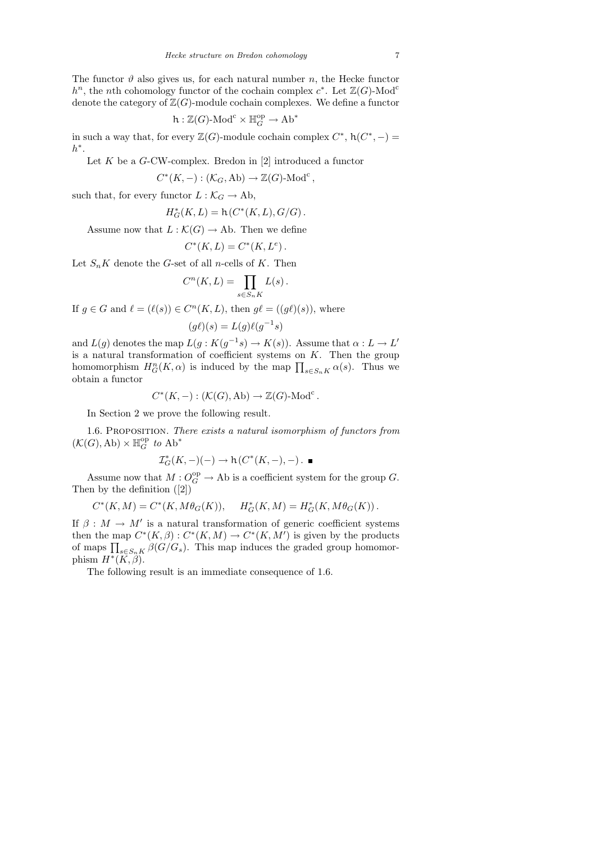The functor  $\vartheta$  also gives us, for each natural number n, the Hecke functor  $h<sup>n</sup>$ , the *n*th cohomology functor of the cochain complex  $c<sup>*</sup>$ . Let  $\mathbb{Z}(G)$ -Mod<sup>c</sup> denote the category of  $\mathbb{Z}(G)$ -module cochain complexes. We define a functor

$$
h:\mathbb{Z}(G)\text{-Mod}^c\times \mathbb{H}_G^{\text{op}}\to \text{Ab}^*
$$

in such a way that, for every  $\mathbb{Z}(G)$ -module cochain complex  $C^*$ ,  $h(C^*, -) =$  $h^*$ .

Let  $K$  be a  $G$ -CW-complex. Bredon in [2] introduced a functor

$$
C^*(K, -): (\mathcal{K}_G, \mathrm{Ab}) \to \mathbb{Z}(G)\text{-Mod}^c,
$$

such that, for every functor  $L : \mathcal{K}_G \to \text{Ab}$ ,

$$
H^*_{G}(K, L) = h(C^*(K, L), G/G).
$$

Assume now that  $L : \mathcal{K}(G) \to \text{Ab}$ . Then we define

$$
C^*(K, L) = C^*(K, L^e).
$$

Let  $S_n K$  denote the G-set of all *n*-cells of K. Then

$$
C^n(K,L) = \prod_{s \in S_n K} L(s).
$$

If  $g \in G$  and  $\ell = (\ell(s)) \in C^n(K, L)$ , then  $g\ell = ((g\ell)(s))$ , where  $(g\ell)(s) = L(g)\ell(g^{-1}s)$ 

and  $L(g)$  denotes the map  $L(g: K(g^{-1}s) \to K(s))$ . Assume that  $\alpha: L \to L'$ is a natural transformation of coefficient systems on  $K$ . Then the group homomorphism  $H_G^n(K, \alpha)$  is induced by the map  $\prod_{s \in S_n K} \alpha(s)$ . Thus we obtain a functor

$$
C^*(K, -): (\mathcal{K}(G), Ab) \to \mathbb{Z}(G)\text{-Mod}^c.
$$

In Section 2 we prove the following result.

1.6. Proposition. There exists a natural isomorphism of functors from  $(\mathcal{K}(G),\mathrm{Ab})\times\mathbb{H}_G^{\mathrm{op}}$  to  $\mathrm{Ab}^*$ 

$$
\mathcal{I}_G^*(K,-)(-) \to h(C^*(K,-),-)\. \blacksquare
$$

Assume now that  $M: O_G^{\text{op}} \to \text{Ab}$  is a coefficient system for the group G. Then by the definition ([2])

$$
C^*(K,M) = C^*(K,M\theta_G(K)), \quad H^*_G(K,M) = H^*_G(K,M\theta_G(K)).
$$

If  $\beta : M \to M'$  is a natural transformation of generic coefficient systems then the map  $C^*(K,\beta): C^*(K,M) \to C^*(K,M')$  is given by the products of maps  $\prod_{s \in S_n K} \beta(G/G_s)$ . This map induces the graded group homomorphism  $H^*(K,\beta)$ .

The following result is an immediate consequence of 1.6.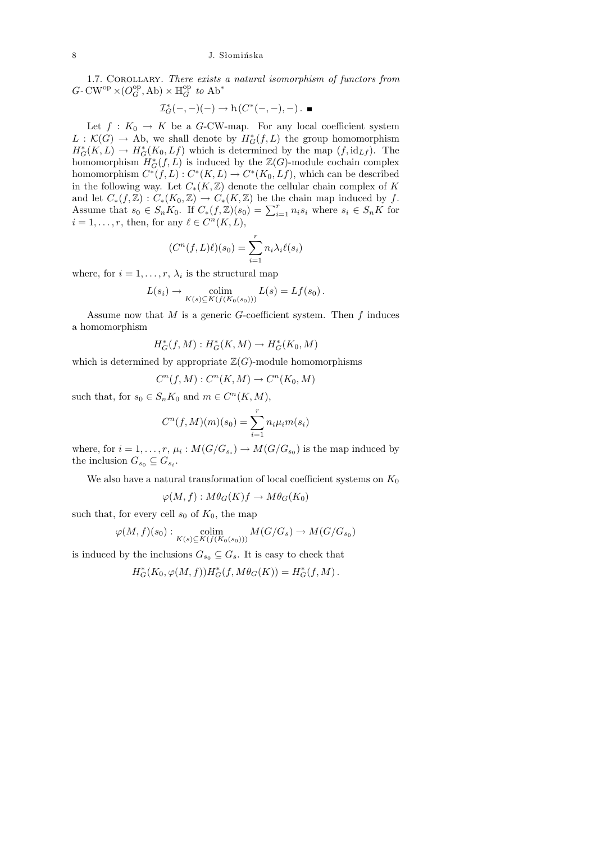1.7. COROLLARY. There exists a natural isomorphism of functors from  $G\text{-}\mathrm{CW}^\mathrm{op}\times (O_G^\mathrm{op},\mathrm{Ab})\times \mathbb H_G^\mathrm{op}$  to  $\mathrm{Ab}^*$ 

$$
\mathcal{I}_G^*(-,-)(-)\to h(C^*(-,-),-)\,.
$$

Let  $f: K_0 \to K$  be a G-CW-map. For any local coefficient system  $L : \mathcal{K}(G) \to Ab$ , we shall denote by  $H^*_{\mathcal{G}}(f, L)$  the group homomorphism  $H^*_G(K, L) \to H^*_G(K_0, Lf)$  which is determined by the map  $(f, id_{Lf})$ . The homomorphism  $H^*_G(f, L)$  is induced by the  $\mathbb{Z}(G)$ -module cochain complex homomorphism  $C^*(f,L): C^*(K,L) \to C^*(K_0,Lf)$ , which can be described in the following way. Let  $C_*(K,\mathbb{Z})$  denote the cellular chain complex of K and let  $C_*(f,\mathbb{Z}): C_*(K_0,\mathbb{Z}) \to C_*(K,\mathbb{Z})$  be the chain map induced by f. Assume that  $s_0 \in S_n K_0$ . If  $C_*(f,\mathbb{Z})(s_0) = \sum_{i=1}^r n_i s_i$  where  $s_i \in S_n K$  for  $i = 1, \ldots, r$ , then, for any  $\ell \in C^n(K, L)$ ,

$$
(C^n(f, L)\ell)(s_0) = \sum_{i=1}^r n_i \lambda_i \ell(s_i)
$$

where, for  $i = 1, \ldots, r, \lambda_i$  is the structural map

$$
L(s_i) \to \operatorname{colim}_{K(s) \subseteq K(f(K_0(s_0)))} L(s) = Lf(s_0).
$$

Assume now that  $M$  is a generic  $G$ -coefficient system. Then  $f$  induces a homomorphism

$$
H^*_G(f,M): H^*_G(K,M) \to H^*_G(K_0,M)
$$

which is determined by appropriate  $\mathbb{Z}(G)$ -module homomorphisms

$$
C^n(f,M): C^n(K,M) \to C^n(K_0,M)
$$

such that, for  $s_0 \in S_n K_0$  and  $m \in C^n(K, M)$ ,

$$
C^{n}(f, M)(m)(s_{0}) = \sum_{i=1}^{r} n_{i} \mu_{i} m(s_{i})
$$

where, for  $i = 1, \ldots, r$ ,  $\mu_i : M(G/G_{s_i}) \to M(G/G_{s_0})$  is the map induced by the inclusion  $G_{s_0} \subseteq G_{s_i}$ .

We also have a natural transformation of local coefficient systems on  $K_0$ 

$$
\varphi(M, f): M\theta_G(K)f \to M\theta_G(K_0)
$$

such that, for every cell  $s_0$  of  $K_0$ , the map

$$
\varphi(M, f)(s_0): \underset{K(s)\subseteq K(f(K_0(s_0)))}{\text{colim}} M(G/G_s) \to M(G/G_{s_0})
$$

is induced by the inclusions  $G_{s_0} \subseteq G_s$ . It is easy to check that

 $H_G^*(K_0, \varphi(M, f))H_G^*(f, M\theta_G(K)) = H_G^*(f, M).$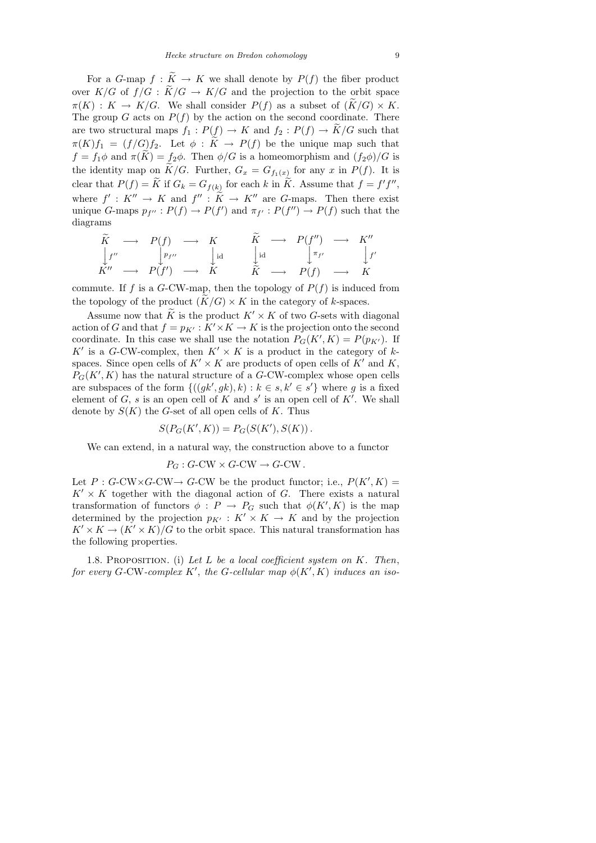For a G-map  $f : \widetilde{K} \to K$  we shall denote by  $P(f)$  the fiber product over  $K/G$  of  $f/G : \widetilde{K}/G \to K/G$  and the projection to the orbit space  $\pi(K) : K \to K/G$ . We shall consider  $P(f)$  as a subset of  $(K/G) \times K$ . The group G acts on  $P(f)$  by the action on the second coordinate. There are two structural maps  $f_1 : P(f) \to K$  and  $f_2 : P(f) \to \widetilde{K}/G$  such that  $\pi(K)f_1 = (f/G)f_2$ . Let  $\phi : \tilde{K} \to P(f)$  be the unique map such that  $f = f_1 \phi$  and  $\pi(\widetilde{K}) = f_2 \phi$ . Then  $\phi/G$  is a homeomorphism and  $(f_2 \phi)/G$  is the identity map on  $K/G$ . Further,  $G_x = G_{f_1(x)}$  for any x in  $P(f)$ . It is clear that  $P(f) = \tilde{K}$  if  $G_k = G_{f(k)}$  for each k in  $\tilde{K}$ . Assume that  $f = f' f''$ , where  $f' : K'' \to K$  and  $f'' : \widetilde{K} \to K''$  are G-maps. Then there exist unique G-maps  $p_{f''}: P(f) \to P(f')$  and  $\pi_{f'}: P(f'') \to P(f)$  such that the diagrams

$$
\begin{array}{ccccccc}\n\widetilde{K} & \longrightarrow & P(f) & \longrightarrow & K & & \widetilde{K} & \longrightarrow & P(f'') & \longrightarrow & K'' \\
\downarrow f'' & & \downarrow p_{f''} & & \downarrow id & & \downarrow id & & \downarrow \pi_{f'} & & \downarrow f' \\
K'' & \longrightarrow & P(f') & \longrightarrow & K & & \widetilde{K} & \longrightarrow & P(f) & \longrightarrow & K\n\end{array}
$$

commute. If f is a G-CW-map, then the topology of  $P(f)$  is induced from the topology of the product  $(K/G) \times K$  in the category of k-spaces.

Assume now that  $\widetilde{K}$  is the product  $K' \times K$  of two G-sets with diagonal action of G and that  $f = p_{K'} : K' \times K \to K$  is the projection onto the second coordinate. In this case we shall use the notation  $P_G(K', K) = P(p_{K'})$ . If K' is a G-CW-complex, then  $K' \times K$  is a product in the category of kspaces. Since open cells of  $K' \times K$  are products of open cells of  $K'$  and  $K$ ,  $P_G(K', K)$  has the natural structure of a G-CW-complex whose open cells are subspaces of the form  ${((gk', gk), k) : k \in s, k' \in s'}$  where g is a fixed element of  $G$ , s is an open cell of  $K$  and  $s'$  is an open cell of  $K'$ . We shall denote by  $S(K)$  the G-set of all open cells of K. Thus

$$
S(P_G(K', K)) = P_G(S(K'), S(K)).
$$

We can extend, in a natural way, the construction above to a functor

$$
P_G : G\text{-CW} \times G\text{-CW} \to G\text{-CW} .
$$

Let  $P: G\text{-CW}\times G\text{-CW}\to G\text{-CW}$  be the product functor; i.e.,  $P(K', K) =$  $K' \times K$  together with the diagonal action of G. There exists a natural transformation of functors  $\phi: P \to P_G$  such that  $\phi(K', K)$  is the map determined by the projection  $p_{K'} : K' \times K \to K$  and by the projection  $K' \times K \to (K' \times K)/G$  to the orbit space. This natural transformation has the following properties.

1.8. PROPOSITION. (i) Let  $L$  be a local coefficient system on  $K$ . Then, for every G-CW-complex K', the G-cellular map  $\phi(K', K)$  induces an iso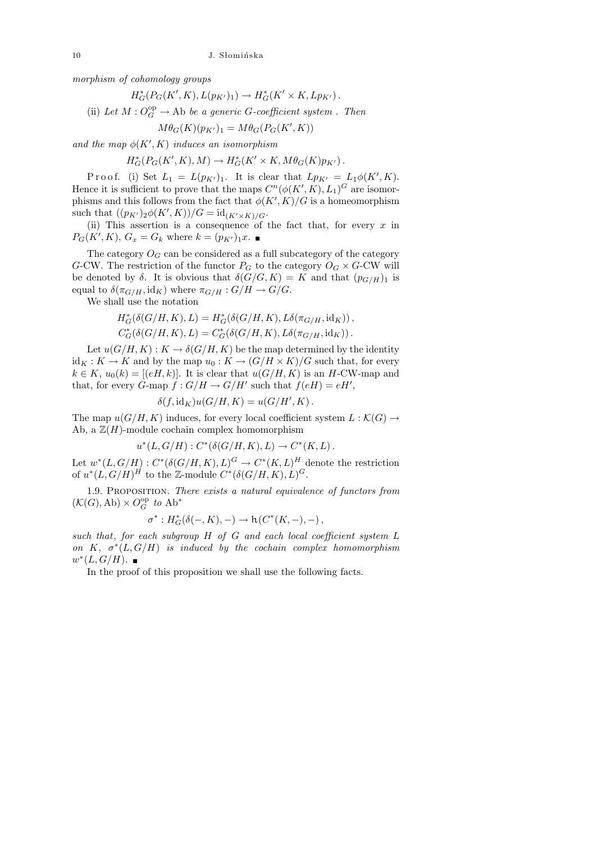morphism of cohomology groups

$$
H_G^*(P_G(K', K), L(p_{K'})_1) \to H_G^*(K' \times K, Lp_{K'})\,.
$$

(ii) Let  $M: O_G^{\rm op} \to \text{Ab}$  be a generic G-coefficient system. Then

$$
M\theta_G(K)(p_{K'})_1 = M\theta_G(P_G(K', K))
$$

and the map  $\phi(K', K)$  induces an isomorphism

$$
H^*_G(P_G(K',K),M) \to H^*_G(K' \times K, M\theta_G(K)p_{K'}).
$$

Proof. (i) Set  $L_1 = L(p_{K'})_1$ . It is clear that  $Lp_{K'} = L_1\phi(K', K)$ . Hence it is sufficient to prove that the maps  $C^n(\phi(K', K), L_1)^G$  are isomorphisms and this follows from the fact that  $\phi(K', K)/G$  is a homeomorphism such that  $((p_{K'})_2 \phi(K', K))/G = id_{(K' \times K)/G}.$ 

(ii) This assertion is a consequence of the fact that, for every  $x$  in  $P_G(K', K), G_x = G_k$  where  $k = (p_{K'})_1 x$ .

The category  $O_G$  can be considered as a full subcategory of the category G-CW. The restriction of the functor  $P_G$  to the category  $O_G \times G$ -CW will be denoted by  $\delta$ . It is obvious that  $\delta(G/G, K) = K$  and that  $(p_{G/H})_1$  is equal to  $\delta(\pi_{G/H}, \text{id}_K)$  where  $\pi_{G/H}: G/H \to G/G$ .

We shall use the notation

$$
H_G^*(\delta(G/H, K), L) = H_G^*(\delta(G/H, K), L\delta(\pi_{G/H}, id_K)),
$$
  

$$
C_G^*(\delta(G/H, K), L) = C_G^*(\delta(G/H, K), L\delta(\pi_{G/H}, id_K)).
$$

Let  $u(G/H, K): K \to \delta(G/H, K)$  be the map determined by the identity  $id_K: K \to K$  and by the map  $u_0: K \to (G/H \times K)/G$  such that, for every  $k \in K$ ,  $u_0(k) = [(eH, k)]$ . It is clear that  $u(G/H, K)$  is an H-CW-map and that, for every G-map  $f: G/H \to G/H'$  such that  $f(eH) = eH'$ ,

$$
\delta(f, id_K)u(G/H, K) = u(G/H', K).
$$

The map  $u(G/H, K)$  induces, for every local coefficient system  $L : \mathcal{K}(G) \to$ Ab, a  $\mathbb{Z}(H)$ -module cochain complex homomorphism

$$
u^*(L, G/H) : C^*(\delta(G/H, K), L) \to C^*(K, L).
$$

Let  $w^*(L, G/H) : C^*(\delta(G/H, K), L)^G \to C^*(K, L)^H$  denote the restriction of  $u^*(L, G/H)^H$  to the Z-module  $C^*(\delta(G/H, K), L)^G$ .

1.9. Proposition. There exists a natural equivalence of functors from  $(\mathcal{K}(G),\mathrm{Ab})\times O_G^{\mathrm{op}}$  to  $\mathrm{Ab}^*$ 

$$
\sigma^*: H^*_G(\delta(-,K),-)\rightarrow {\rm h}\left(C^*(K,-),-\right),
$$

such that, for each subgroup H of G and each local coefficient system L on K,  $\sigma^*(L, G/H)$  is induced by the cochain complex homomorphism  $w^*(L, G/H).$ 

In the proof of this proposition we shall use the following facts.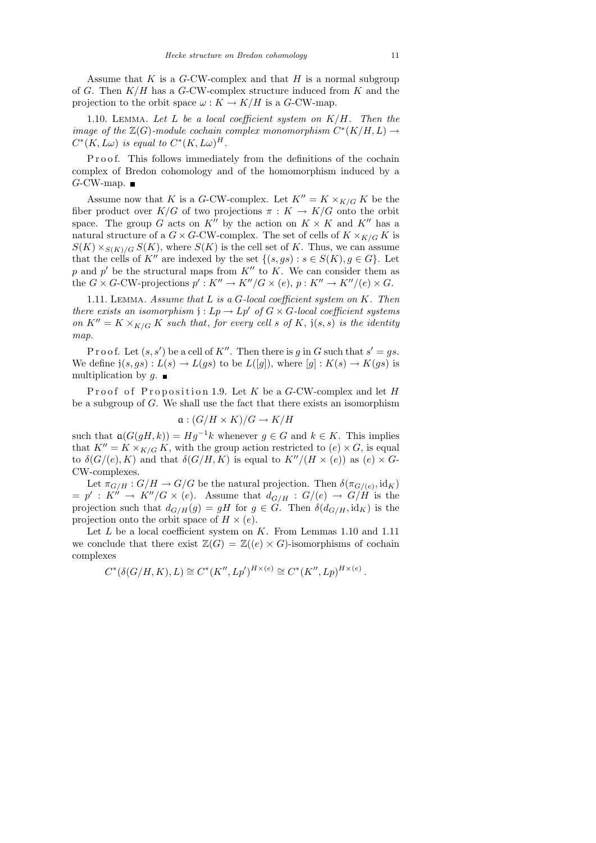1.10. LEMMA. Let  $L$  be a local coefficient system on  $K/H$ . Then the image of the  $\mathbb{Z}(G)$ -module cochain complex monomorphism  $C^*(K/H, L) \to$  $C^*(K,L\omega)$  is equal to  $C^*(K,L\omega)^H$ .

Proof. This follows immediately from the definitions of the cochain complex of Bredon cohomology and of the homomorphism induced by a  $G$ -CW-map.

Assume now that K is a G-CW-complex. Let  $K'' = K \times_{K/G} K$  be the fiber product over  $K/G$  of two projections  $\pi: K \to K/G$  onto the orbit space. The group G acts on  $K''$  by the action on  $K \times K$  and  $K''$  has a natural structure of a  $G \times G$ -CW-complex. The set of cells of  $K \times_{K/G} K$  is  $S(K) \times_{S(K)/G} S(K)$ , where  $S(K)$  is the cell set of K. Thus, we can assume that the cells of  $K''$  are indexed by the set  $\{(s, gs) : s \in S(K), g \in G\}$ . Let p and p' be the structural maps from  $K''$  to K. We can consider them as the  $G \times G$ -CW-projections  $p' : K'' \to K''/G \times (e), p : K'' \to K''/(e) \times G$ .

1.11. LEMMA. Assume that  $L$  is a  $G$ -local coefficient system on  $K$ . Then there exists an isomorphism  $j: L_p \to L_p'$  of  $G \times G$ -local coefficient systems on  $K'' = K \times_{K/G} K$  such that, for every cell s of K,  $\mathfrak{j}(s,s)$  is the identity map.

Proof. Let  $(s, s')$  be a cell of K''. Then there is g in G such that  $s' = gs$ . We define  $j(s, gs) : L(s) \to L(gs)$  to be  $L([g])$ , where  $[g] : K(s) \to K(gs)$  is multiplication by  $q$ .

Proof of Proposition 1.9. Let  $K$  be a  $G$ -CW-complex and let  $H$ be a subgroup of G. We shall use the fact that there exists an isomorphism

$$
\mathfrak{a}: (G/H \times K)/G \to K/H
$$

such that  $a(G(gH, k)) = Hg^{-1}k$  whenever  $g \in G$  and  $k \in K$ . This implies that  $K'' = K \times_{K/G} K$ , with the group action restricted to  $(e) \times G$ , is equal to  $\delta(G/(e), K)$  and that  $\delta(G/H, K)$  is equal to  $K''/(H \times (e))$  as  $(e) \times G$ -CW-complexes.

Let  $\pi_{G/H}: G/H \to G/G$  be the natural projection. Then  $\delta(\pi_{G/(e)}, \mathrm{id}_K)$  $=p' : K'' \to K''/G \times (e)$ . Assume that  $d_{G/H} : G/(e) \to G/H$  is the projection such that  $d_{G/H}(g) = gH$  for  $g \in G$ . Then  $\delta(d_{G/H}, id_K)$  is the projection onto the orbit space of  $H \times (e)$ .

Let  $L$  be a local coefficient system on  $K$ . From Lemmas 1.10 and 1.11 we conclude that there exist  $\mathbb{Z}(G) = \mathbb{Z}((e) \times G)$ -isomorphisms of cochain complexes

$$
C^*(\delta(G/H, K), L) \cong C^*(K'', Lp')^{H \times (e)} \cong C^*(K'', Lp)^{H \times (e)}.
$$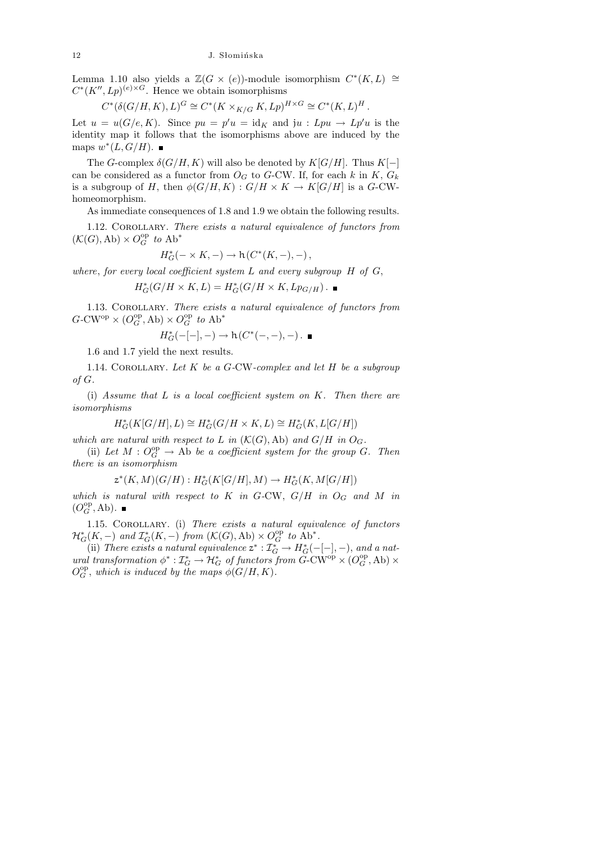Lemma 1.10 also yields a  $\mathbb{Z}(G \times (e))$ -module isomorphism  $C^*(K, L) \cong$  $C^*(K'', Lp)^{(e) \times G}$ . Hence we obtain isomorphisms

$$
C^*(\delta(G/H, K), L)^G \cong C^*(K \times_{K/G} K, Lp)^{H \times G} \cong C^*(K, L)^H.
$$

Let  $u = u(G/e, K)$ . Since  $pu = p'u = id_K$  and  $ju : Lpu \to Lp'u$  is the identity map it follows that the isomorphisms above are induced by the maps  $w^*(L, G/H)$ .

The G-complex  $\delta(G/H, K)$  will also be denoted by  $K[G/H]$ . Thus  $K[-]$ can be considered as a functor from  $O_G$  to G-CW. If, for each k in K,  $G_k$ is a subgroup of H, then  $\phi(G/H, K) : G/H \times K \to K[G/H]$  is a G-CWhomeomorphism.

As immediate consequences of 1.8 and 1.9 we obtain the following results.

1.12. COROLLARY. There exists a natural equivalence of functors from  $(\mathcal{K}(G),\mathrm{Ab})\times O_G^{\mathrm{op}}$  to  $\mathrm{Ab}^*$ 

$$
H^*_G(-\times K,-)\to \mathrm{h}(C^*(K,-),-)\,,
$$

where, for every local coefficient system  $L$  and every subgroup  $H$  of  $G$ ,

$$
H_G^*(G/H \times K, L) = H_G^*(G/H \times K, Lp_{G/H}).
$$

1.13. COROLLARY. There exists a natural equivalence of functors from  $G\text{-}\mathrm{CW}^\mathrm{op}\times (O_G^\mathrm{op},\mathrm{Ab})\times O_G^\mathrm{op}$  to  $\mathrm{Ab}^*$ 

 $H_G^*(-[-], -) \to h(C^*(-, -), -)$ .

1.6 and 1.7 yield the next results.

1.14. COROLLARY. Let  $K$  be a  $G$ -CW-complex and let  $H$  be a subgroup of G.

(i) Assume that  $L$  is a local coefficient system on  $K$ . Then there are isomorphisms

$$
H^*_G(K[G/H],L)\cong H^*_G(G/H\times K,L)\cong H^*_G(K,L[G/H])
$$

which are natural with respect to L in  $(\mathcal{K}(G), Ab)$  and  $G/H$  in  $O_G$ .

(ii) Let  $M: O_G^{\rm op} \to Ab$  be a coefficient system for the group G. Then there is an isomorphism

$$
z^*(K,M)(G/H): H^*_G(K[G/H],M) \to H^*_G(K,M[G/H])
$$

which is natural with respect to K in G-CW,  $G/H$  in  $O_G$  and M in  $(O_G^{\rm op}, \operatorname{Ab}).$ 

1.15. COROLLARY. (i) There exists a natural equivalence of functors  $\mathcal{H}^*_G(K, -)$  and  $\mathcal{I}^*_G(K, -)$  from  $(\mathcal{K}(G), \mathrm{Ab}) \times O_G^{\mathrm{op}}$  to  $\mathrm{Ab}^*$ .

(ii) There exists a natural equivalence  $z^* : \mathcal{I}_G^* \to H_G^*(-[-], -)$ , and a natural transformation  $\phi^* : \mathcal{I}_G^* \to \mathcal{H}_G^*$  of functors from  $\check{G}$ -CW<sup>op</sup>  $\times (O_G^{\text{op}}, \text{Ab}) \times$  $O_G^{\rm op}$ , which is induced by the maps  $\phi(G/H, K)$ .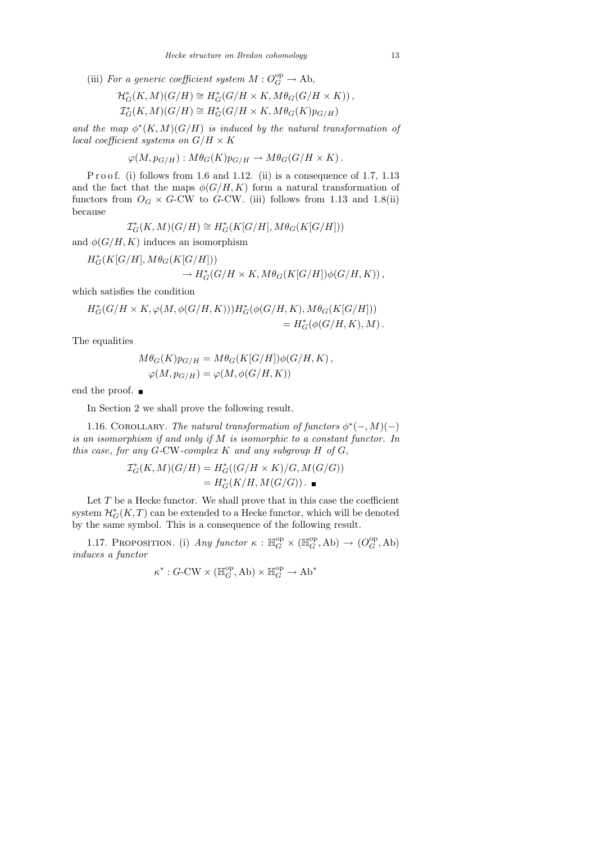(iii) For a generic coefficient system  $M: O_G^{\rm op} \to \text{Ab}$ ,

$$
\mathcal{H}_G^*(K, M)(G/H) \cong H_G^*(G/H \times K, M\theta_G(G/H \times K)),
$$
  

$$
\mathcal{I}_G^*(K, M)(G/H) \cong H_G^*(G/H \times K, M\theta_G(K)p_{G/H})
$$

and the map  $\phi^*(K,M)(G/H)$  is induced by the natural transformation of local coefficient systems on  $G/H \times K$ 

$$
\varphi(M, p_{G/H}): M\theta_G(K)p_{G/H} \to M\theta_G(G/H \times K).
$$

P r o o f. (i) follows from 1.6 and 1.12. (ii) is a consequence of 1.7, 1.13 and the fact that the maps  $\phi(G/H, K)$  form a natural transformation of functors from  $O_G \times G$ -CW to G-CW. (iii) follows from 1.13 and 1.8(ii) because

$$
\mathcal{I}_G^*(K,M)(G/H) \cong H_G^*(K[G/H], M\theta_G(K[G/H]))
$$

and  $\phi(G/H, K)$  induces an isomorphism

$$
H_G^*(K[G/H], M\theta_G(K[G/H]))
$$
  

$$
\rightarrow H_G^*(G/H \times K, M\theta_G(K[G/H])\phi(G/H, K)),
$$

which satisfies the condition

$$
\begin{split} H^*_G(G/H\times K, &\varphi(M,\phi(G/H,K)))H^*_G(\phi(G/H,K),M\theta_G(K[G/H])) \\ &\qquad=H^*_G(\phi(G/H,K),M)\,. \end{split}
$$

The equalities

$$
M\theta_G(K)p_{G/H} = M\theta_G(K[G/H])\phi(G/H, K),
$$
  

$$
\varphi(M, p_{G/H}) = \varphi(M, \phi(G/H, K))
$$

end the proof. ■

In Section 2 we shall prove the following result.

1.16. COROLLARY. The natural transformation of functors  $\phi^*(-, M)(-)$ is an isomorphism if and only if M is isomorphic to a constant functor. In this case, for any  $G$ -CW-complex  $K$  and any subgroup  $H$  of  $G$ ,

$$
\mathcal{I}_G^*(K, M)(G/H) = H_G^*((G/H \times K)/G, M(G/G))
$$
  
= 
$$
H_G^*(K/H, M(G/G)) \cdot \blacksquare
$$

Let  $T$  be a Hecke functor. We shall prove that in this case the coefficient system  $\mathcal{H}^*_G(K,T)$  can be extended to a Hecke functor, which will be denoted by the same symbol. This is a consequence of the following result.

1.17. PROPOSITION. (i) Any functor  $\kappa : \mathbb{H}_G^{\rm op} \times (\mathbb{H}_G^{\rm op}, \text{Ab}) \to (O_G^{\rm op}, \text{Ab})$ induces a functor

$$
\kappa^*: G\text{-}\mathrm{CW} \times (\mathbb{H}_G^{\mathrm{op}}, \mathrm{Ab}) \times \mathbb{H}_G^{\mathrm{op}} \to \mathrm{Ab}^*
$$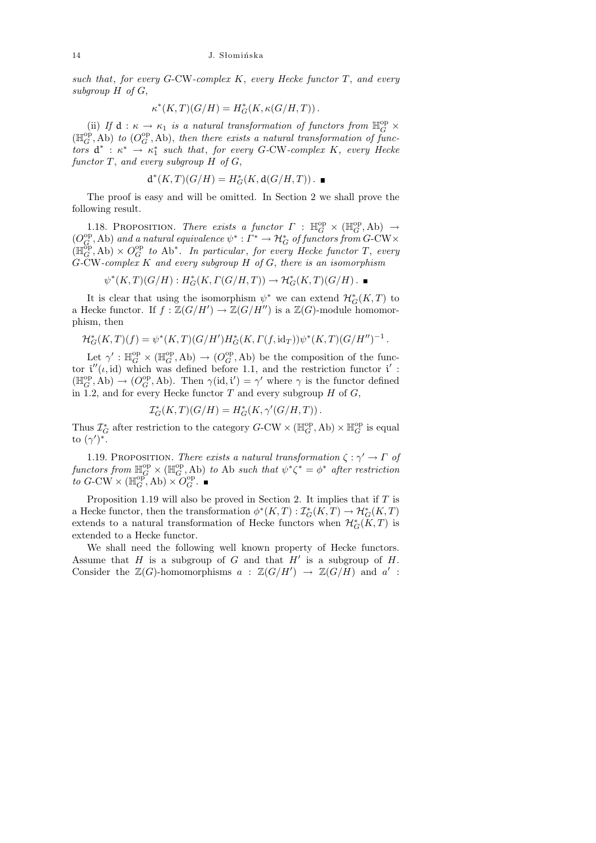such that, for every G-CW-complex  $K$ , every Hecke functor  $T$ , and every subgroup  $H$  of  $G$ ,

$$
\kappa^*(K,T)(G/H) = H^*_G(K, \kappa(G/H, T))\,.
$$

(ii) If  $d : \kappa \to \kappa_1$  is a natural transformation of functors from  $\mathbb{H}_G^{\text{op}} \times$  $(\mathbb{H}_G^{\text{op}}, \text{Ab})$  to  $(O_G^{\text{op}}, \text{Ab})$ , then there exists a natural transformation of functors  $d^*$ :  $\kappa^* \rightarrow \kappa_1^*$  such that, for every G-CW-complex K, every Hecke functor  $T$ , and every subgroup  $H$  of  $G$ ,

$$
\textup{d}^*(K,T)(G/H)=H^*_G(K,\textup{d}(G/H,T))\,.
$$

The proof is easy and will be omitted. In Section 2 we shall prove the following result.

1.18. PROPOSITION. There exists a functor  $\Gamma : \mathbb{H}_G^{\rm op} \times (\mathbb{H}_G^{\rm op}, \text{Ab}) \to$  $(O_G^{\rm op},\text{Ab})$  and a natural equivalence  $\psi^*: \Gamma^*\to \mathcal{H}_G^*$  of functors from  $G$ -CW $\times$  $(\mathbb{H}_G^{\text{op}}, \text{Ab}) \times O_G^{\text{op}}$  to  $\text{Ab}^*$ . In particular, for every Hecke functor T, every  $G$ -CW-complex  $K$  and every subgroup  $H$  of  $G$ , there is an isomorphism

$$
\psi^*(K,T)(G/H): H^*_G(K,\Gamma(G/H,T)) \to \mathcal{H}^*_G(K,T)(G/H) . \blacksquare
$$

It is clear that using the isomorphism  $\psi^*$  we can extend  $\mathcal{H}_G^*(K,T)$  to a Hecke functor. If  $f : \mathbb{Z}(G/H') \to \mathbb{Z}(G/H'')$  is a  $\mathbb{Z}(G)$ -module homomorphism, then

$$
\mathcal{H}^*_{G}(K,T)(f) = \psi^*(K,T)(G/H')H^*_{G}(K,\Gamma(f,\mathrm{id}_T))\psi^*(K,T)(G/H'')^{-1}.
$$

Let  $\gamma' : \mathbb{H}_G^{\text{op}} \times (\mathbb{H}_G^{\text{op}}, \text{Ab}) \to (O_G^{\text{op}}, \text{Ab})$  be the composition of the functor  $i''(\iota, id)$  which was defined before 1.1, and the restriction functor  $i'$ :  $(\mathbb{H}_G^{\text{op}}, \text{Ab}) \to (O_G^{\text{op}}, \text{Ab})$ . Then  $\gamma(\text{id}, \mathfrak{i}') = \gamma'$  where  $\gamma$  is the functor defined in 1.2, and for every Hecke functor  $T$  and every subgroup  $H$  of  $G$ ,

$$
\mathcal{I}_G^*(K,T)(G/H) = H_G^*(K,\gamma'(G/H,T))\,.
$$

Thus  $\mathcal{I}_{G}^*$  after restriction to the category  $G$ -CW  $\times$  ( $\mathbb{H}_{G}^{\text{op}},$  Ab)  $\times$   $\mathbb{H}_{G}^{\text{op}}$  is equal to  $(\gamma')^*$ .

1.19. PROPOSITION. There exists a natural transformation  $\zeta : \gamma' \to \Gamma$  of functors from  $\mathbb{H}_G^{\text{op}} \times (\mathbb{H}_G^{\text{op}}, \text{Ab})$  to Ab such that  $\psi^* \zeta^* = \phi^*$  after restriction to  $G$ -CW  $\times (\mathbb{H}_G^{\text{op}}, \text{Ab}) \times O_G^{\text{op}}$ .

Proposition 1.19 will also be proved in Section 2. It implies that if  $T$  is a Hecke functor, then the transformation  $\phi^*(K,T) : \mathcal{I}_G^*(K,T) \to \mathcal{H}_G^*(K,T)$ extends to a natural transformation of Hecke functors when  $\mathcal{H}^*_{G}(K,T)$  is extended to a Hecke functor.

We shall need the following well known property of Hecke functors. Assume that  $H$  is a subgroup of  $G$  and that  $H'$  is a subgroup of  $H$ . Consider the  $\mathbb{Z}(G)$ -homomorphisms  $a : \mathbb{Z}(G/H') \to \mathbb{Z}(G/H)$  and  $a'$ :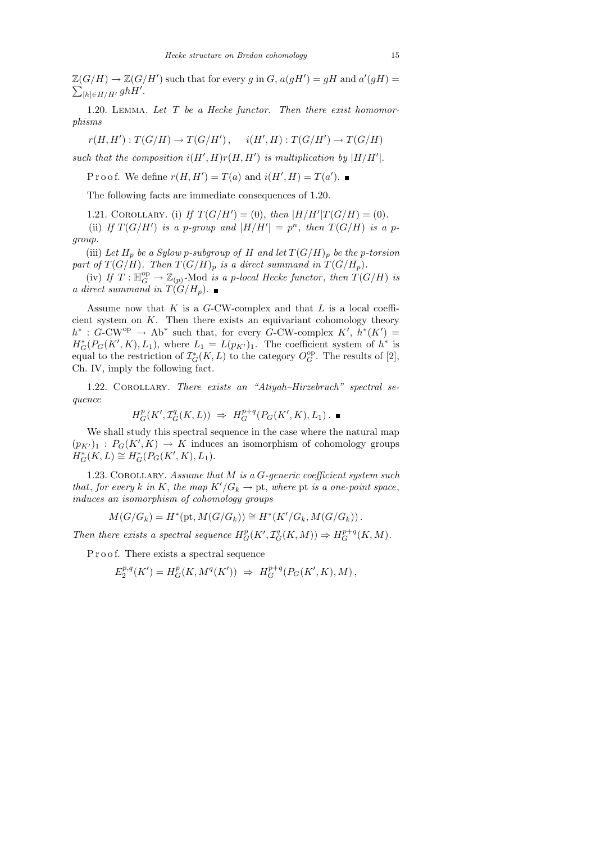$\mathbb{Z}(G/H) \to \mathbb{Z}(G/H')$  such that for every g in G,  $a(gH') = gH$  and  $a'(gH) =$  $\sum_{[h]\in H/H'} ghH'.$ 

1.20. LEMMA. Let  $T$  be a Hecke functor. Then there exist homomorphisms

 $r(H, H'): T(G/H) \to T(G/H'), \quad i(H', H): T(G/H') \to T(G/H)$ 

such that the composition  $i(H', H)r(H, H')$  is multiplication by  $|H/H'|$ .

Proof. We define  $r(H, H') = T(a)$  and  $i(H', H) = T(a')$ .

The following facts are immediate consequences of 1.20.

1.21. COROLLARY. (i) If  $T(G/H') = (0)$ , then  $|H/H'|T(G/H) = (0)$ .

(ii) If  $T(G/H')$  is a p-group and  $|H/H'| = p^n$ , then  $T(G/H)$  is a pgroup.

(iii) Let  $H_p$  be a Sylow p-subgroup of H and let  $T(G/H)_p$  be the p-torsion part of  $T(G/H)$ . Then  $T(G/H)_p$  is a direct summand in  $T(G/H_p)$ .

(iv) If  $T: \mathbb{H}_G^{\text{op}} \to \mathbb{Z}_{(p)}$ -Mod is a p-local Hecke functor, then  $T(G/H)$  is a direct summand in  $T(G/H_p)$ .

Assume now that  $K$  is a  $G$ -CW-complex and that  $L$  is a local coefficient system on  $K$ . Then there exists an equivariant cohomology theory  $h^* : G\text{-CW}^{\text{op}} \to Ab^*$  such that, for every G-CW-complex  $K', h^*(K') =$  $H_G^*(P_G(K', K), L_1)$ , where  $L_1 = L(p_{K'})_1$ . The coefficient system of  $h^*$  is equal to the restriction of  $\mathcal{I}_G^*(K, L)$  to the category  $O_G^{\text{op}}$ . The results of [2], Ch. IV, imply the following fact.

1.22. COROLLARY. There exists an "Atiyah–Hirzebruch" spectral sequence

$$
H^p_G(K', {\mathcal I}^q_G(K, L)) \ \Rightarrow \ H^{p+q}_G(P_G(K', K), L_1) \, . \ \blacksquare
$$

We shall study this spectral sequence in the case where the natural map  $(p_{K'})_1 : P_G(K', K) \to K$  induces an isomorphism of cohomology groups  $H^*_G(K, L) \cong H^*_G(P_G(K', K), L_1).$ 

1.23. COROLLARY. Assume that  $M$  is a  $G$ -generic coefficient system such that, for every k in K, the map  $K'/G_k \to \text{pt}$ , where  $\text{pt}$  is a one-point space, induces an isomorphism of cohomology groups

$$
M(G/G_k) = H^*(pt, M(G/G_k)) \cong H^*(K'/G_k, M(G/G_k)).
$$

Then there exists a spectral sequence  $H_G^p(K', \mathcal{I}_G^q(K,M)) \Rightarrow H_G^{p+q}(K,M)$ .

P r o o f. There exists a spectral sequence

$$
E_2^{p,q}(K') = H^p_G(K, M^q(K')) \Rightarrow H^{p+q}_G(P_G(K', K), M),
$$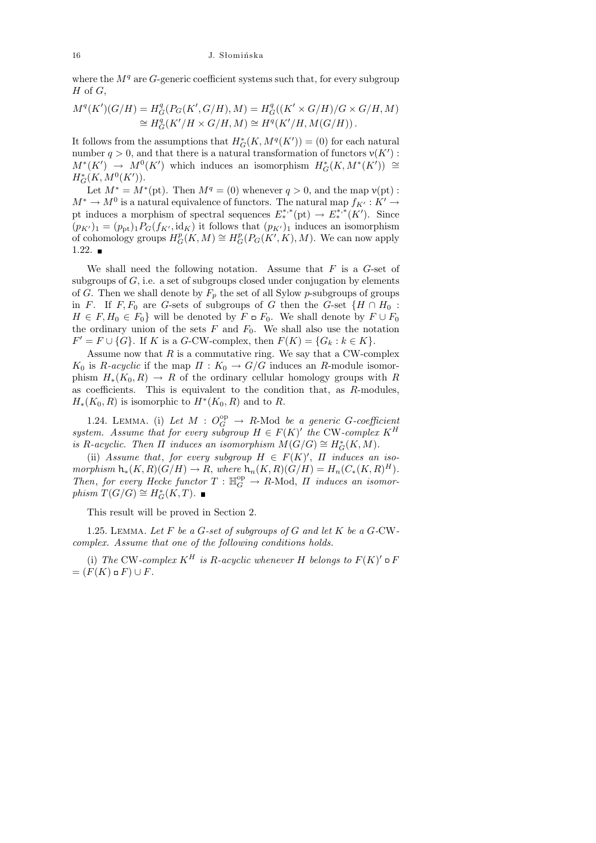where the  $M<sup>q</sup>$  are G-generic coefficient systems such that, for every subgroup  $H$  of  $G$ ,

$$
M^{q}(K')(G/H) = H^{q}_{G}(P_{G}(K', G/H), M) = H^{q}_{G}((K' \times G/H)/G \times G/H, M)
$$
  
\n
$$
\cong H^{q}_{G}(K'/H \times G/H, M) \cong H^{q}(K'/H, M(G/H)).
$$

It follows from the assumptions that  $H^*_{G}(K, M^q(K')) = (0)$  for each natural number  $q > 0$ , and that there is a natural transformation of functors  $v(K')$ :  $M^*(K') \rightarrow M^0(K')$  which induces an isomorphism  $H^*_G(K, M^*(K')) \cong$  $H^*_G(K, M^0(K')).$ 

Let  $M^* = M^*(pt)$ . Then  $M^q = (0)$  whenever  $q > 0$ , and the map  $v(pt)$ :  $M^* \to M^0$  is a natural equivalence of functors. The natural map  $f_{K'} : K' \to$ pt induces a morphism of spectral sequences  $E_*^{*,*}(\text{pt}) \to E_*^{*,*}(K')$ . Since  $(p_{K'})_1 = (p_{\rm pt})_1 P_G(f_{K'}, \mathrm{id}_K)$  it follows that  $(p_{K'})_1$  induces an isomorphism of cohomology groups  $H_G^p(K,M) \cong H_G^p(P_G(K',K),M)$ . We can now apply  $1.22.$ 

We shall need the following notation. Assume that  $F$  is a  $G$ -set of subgroups of  $G$ , i.e. a set of subgroups closed under conjugation by elements of G. Then we shall denote by  $F_p$  the set of all Sylow p-subgroups of groups in F. If F,  $F_0$  are G-sets of subgroups of G then the G-set  $\{H \cap H_0$ :  $H \in F, H_0 \in F_0$  will be denoted by  $F \circ F_0$ . We shall denote by  $F \cup F_0$ the ordinary union of the sets  $F$  and  $F_0$ . We shall also use the notation  $F' = F \cup \{G\}$ . If K is a G-CW-complex, then  $F(K) = \{G_k : k \in K\}$ .

Assume now that  $R$  is a commutative ring. We say that a CW-complex  $K_0$  is R-acyclic if the map  $\Pi: K_0 \to G/G$  induces an R-module isomorphism  $H_*(K_0, R) \to R$  of the ordinary cellular homology groups with R as coefficients. This is equivalent to the condition that, as R-modules,  $H_*(K_0, R)$  is isomorphic to  $H^*(K_0, R)$  and to R.

1.24. LEMMA. (i) Let  $M: O_G^{\rm op} \to R\text{-Mod}$  be a generic G-coefficient system. Assume that for every subgroup  $H \in F(K)'$  the CW-complex  $K^H$ is R-acyclic. Then  $\Pi$  induces an isomorphism  $\mathcal{M}(G/G) \cong H^*_G(K,M)$ .

(ii) Assume that, for every subgroup  $H \in F(K)'$ ,  $\Pi$  induces an isomorphism  $h_*(K,R)(G/H) \to R$ , where  $h_n(K,R)(G/H) = H_n(C_*(K,R)^H)$ . Then, for every Hecke functor  $T : \mathbb{H}_G^{\rm op} \to R$ -Mod,  $\Pi$  induces an isomorphism  $T(G/G) \cong H^*_G(K,T)$ .

This result will be proved in Section 2.

1.25. LEMMA. Let  $F$  be a  $G$ -set of subgroups of  $G$  and let  $K$  be a  $G$ -CWcomplex. Assume that one of the following conditions holds.

(i) The CW-complex  $K^H$  is R-acyclic whenever H belongs to  $F(K)'\square F$  $=(F(K)\circ F)\cup F.$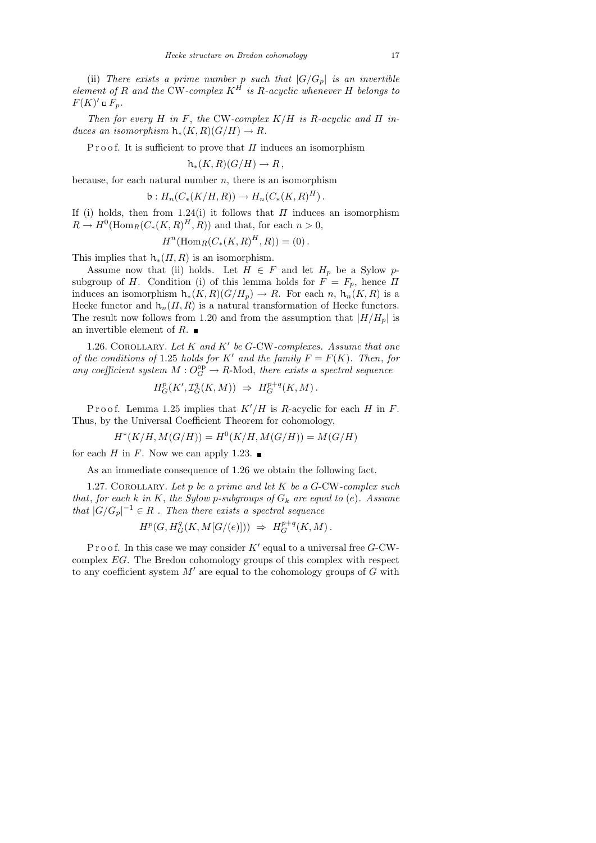(ii) There exists a prime number p such that  $|G/G_p|$  is an invertible element of R and the CW-complex  $K^H$  is R-acyclic whenever H belongs to  $F(K)' \square F_p$ .

Then for every H in F, the CW-complex  $K/H$  is R-acyclic and  $\Pi$  induces an isomorphism  $h_*(K,R)(G/H) \to R$ .

P r o o f. It is sufficient to prove that  $\Pi$  induces an isomorphism

$$
h_*(K,R)(G/H) \to R,
$$

because, for each natural number  $n$ , there is an isomorphism

$$
\mathsf{b}: H_n(C_*(K/H, R)) \to H_n(C_*(K, R)^H).
$$

If (i) holds, then from 1.24(i) it follows that  $\Pi$  induces an isomorphism  $R \to H^0(\text{Hom}_R(C_*(K,R)^H,R))$  and that, for each  $n > 0$ ,

$$
H^{n}(\text{Hom}_{R}(C_{*}(K,R)^{H}, R)) = (0).
$$

This implies that  $h_*(\Pi, R)$  is an isomorphism.

Assume now that (ii) holds. Let  $H \in F$  and let  $H_p$  be a Sylow psubgroup of H. Condition (i) of this lemma holds for  $F = F_p$ , hence  $\Pi$ induces an isomorphism  $h_*(K, R)(G/H_p) \to R$ . For each n,  $h_n(K, R)$  is a Hecke functor and  $h_n(\Pi, R)$  is a natural transformation of Hecke functors. The result now follows from 1.20 and from the assumption that  $|H/H_p|$  is an invertible element of R.

1.26. COROLLARY. Let  $K$  and  $K'$  be G-CW-complexes. Assume that one of the conditions of 1.25 holds for K' and the family  $F = F(K)$ . Then, for any coefficient system  $M: O_G^{\rm op} \to R$ -Mod, there exists a spectral sequence

$$
H^p_G(K',{\mathcal I}^q_G(K,M)) \ \Rightarrow \ H^{p+q}_G(K,M) \, .
$$

Proof. Lemma 1.25 implies that  $K'/H$  is R-acyclic for each H in F. Thus, by the Universal Coefficient Theorem for cohomology,

$$
H^*(K/H, M(G/H)) = H^0(K/H, M(G/H)) = M(G/H)
$$

for each H in F. Now we can apply 1.23.  $\blacksquare$ 

As an immediate consequence of 1.26 we obtain the following fact.

1.27. COROLLARY. Let  $p$  be a prime and let  $K$  be a G-CW-complex such that, for each k in K, the Sylow p-subgroups of  $G_k$  are equal to (e). Assume that  $|G/G_p|^{-1} \in R$ . Then there exists a spectral sequence

$$
H^p(G, H^q_G(K, M[G/(e)])) \Rightarrow H^{p+q}_G(K, M).
$$

P r o o f. In this case we may consider  $K'$  equal to a universal free  $G$ -CWcomplex EG. The Bredon cohomology groups of this complex with respect to any coefficient system  $M'$  are equal to the cohomology groups of  $G$  with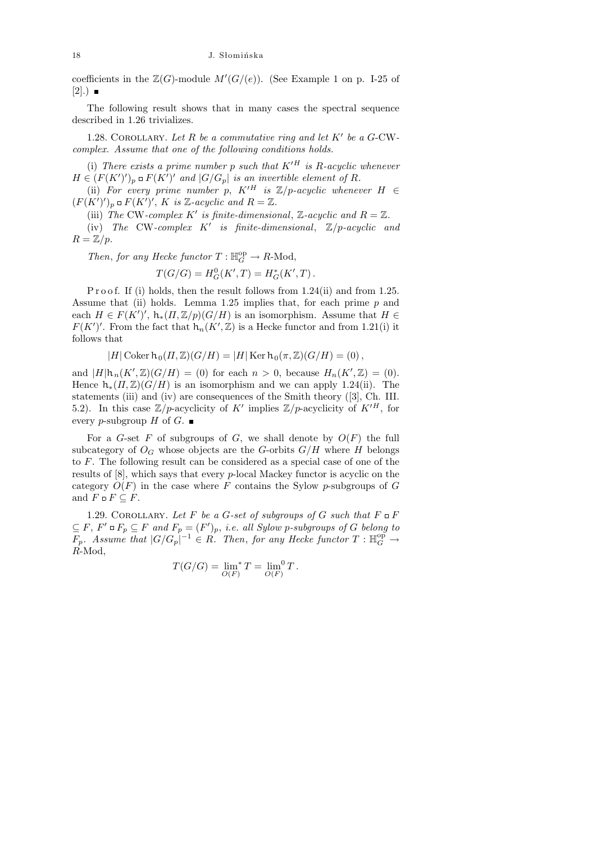coefficients in the  $\mathbb{Z}(G)$ -module  $M'(G/(e))$ . (See Example 1 on p. I-25 of  $[2]$ .)  $\blacksquare$ 

The following result shows that in many cases the spectral sequence described in 1.26 trivializes.

1.28. COROLLARY. Let  $R$  be a commutative ring and let  $K'$  be a  $G$ -CWcomplex. Assume that one of the following conditions holds.

(i) There exists a prime number p such that  $K^{\prime H}$  is R-acyclic whenever  $H \in (F(K')')_p \sqcup F(K')'$  and  $|G/G_p|$  is an invertible element of R.

(ii) For every prime number p,  $K'^H$  is  $\mathbb{Z}/p$ -acyclic whenever  $H \in$  $(F(K')')_p \square F(K')'$ , K is Z-acyclic and  $R = \mathbb{Z}$ .

(iii) The CW-complex K' is finite-dimensional, Z-acyclic and  $R = \mathbb{Z}$ .

(iv) The CW-complex  $K'$  is finite-dimensional,  $\mathbb{Z}/p$ -acyclic and  $R = \mathbb{Z}/p$ .

Then, for any Hecke functor  $T: \mathbb{H}_G^{\rm op} \to R\text{-Mod}$ ,

$$
T(G/G) = H_G^0(K', T) = H_G^*(K', T).
$$

P r o o f. If (i) holds, then the result follows from 1.24(ii) and from 1.25. Assume that (ii) holds. Lemma 1.25 implies that, for each prime  $p$  and each  $H \in F(K')'$ ,  $h_*(\Pi, \mathbb{Z}/p)(G/H)$  is an isomorphism. Assume that  $H \in$  $F(K')'$ . From the fact that  $h_n(K',\mathbb{Z})$  is a Hecke functor and from 1.21(i) it follows that

$$
|H| \operatorname{Coker} \operatorname{h}_0(\Pi,\mathbb{Z})(G/H) = |H| \operatorname{Ker} \operatorname{h}_0(\pi,\mathbb{Z})(G/H) = (0),
$$

and  $|H|\mathsf{h}_{n}(K',\mathbb{Z})(G/H) = (0)$  for each  $n > 0$ , because  $H_n(K',\mathbb{Z}) = (0)$ . Hence  $h_*(\Pi,\mathbb{Z})(G/H)$  is an isomorphism and we can apply 1.24(ii). The statements (iii) and (iv) are consequences of the Smith theory ([3], Ch. III. 5.2). In this case  $\mathbb{Z}/p$ -acyclicity of K' implies  $\mathbb{Z}/p$ -acyclicity of  $K'^H$ , for every p-subgroup H of G.  $\blacksquare$ 

For a G-set F of subgroups of G, we shall denote by  $O(F)$  the full subcategory of  $O_G$  whose objects are the G-orbits  $G/H$  where H belongs to F. The following result can be considered as a special case of one of the results of [8], which says that every p-local Mackey functor is acyclic on the category  $O(F)$  in the case where F contains the Sylow p-subgroups of G and  $F \square F \subseteq F$ .

1.29. COROLLARY. Let F be a G-set of subgroups of G such that  $F \square F$  $\subseteq F$ ,  $F' \square F_p \subseteq F$  and  $F_p = (F')_p$ , i.e. all Sylow p-subgroups of G belong to  $F_p$ . Assume that  $|G/G_p|^{-1} \in R$ . Then, for any Hecke functor  $T: \mathbb{H}_G^{\text{op}} \to$ R-Mod,

$$
T(G/G)=\lim_{O(F)}T=\lim_{O(F)}T.
$$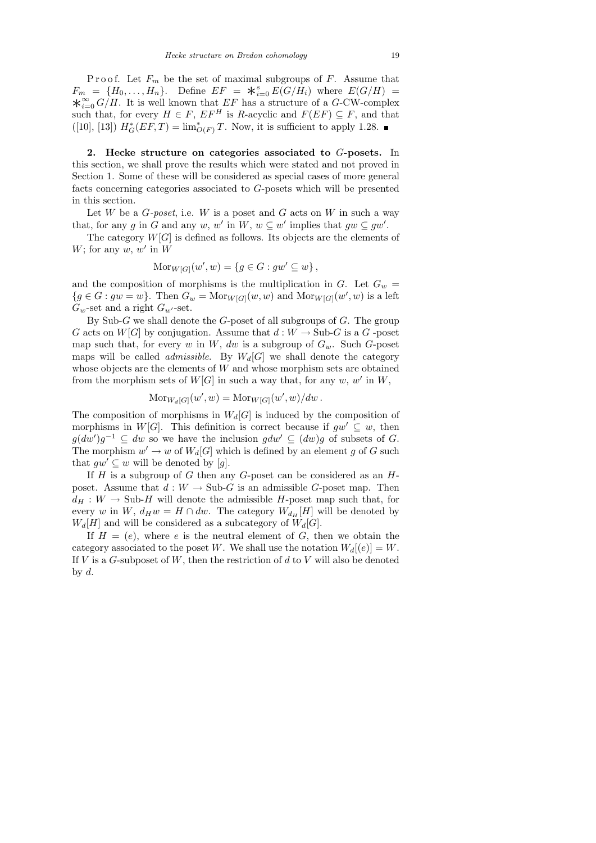Proof. Let  $F_m$  be the set of maximal subgroups of F. Assume that  $F_m = {H_0, \ldots, H_n}$ . Define  $EF = *_{i=0}^s E(G/H_i)$  where  $E(G/H) =$  $\star_{i=0}^{\infty} G/H$ . It is well known that EF has a structure of a G-CW-complex such that, for every  $H \in F$ ,  $EF^H$  is R-acyclic and  $F(EF) \subseteq F$ , and that ([10], [13])  $H^*_{G}(EF,T) = \lim_{O(F)}^* T$ . Now, it is sufficient to apply 1.28.

2. Hecke structure on categories associated to G-posets. In this section, we shall prove the results which were stated and not proved in Section 1. Some of these will be considered as special cases of more general facts concerning categories associated to G-posets which will be presented in this section.

Let W be a  $G\text{-}poset$ , i.e. W is a poset and G acts on W in such a way that, for any g in G and any w, w' in  $W, w \subseteq w'$  implies that  $gw \subseteq gw'$ .

The category  $W[G]$  is defined as follows. Its objects are the elements of W; for any  $w, w'$  in W

$$
Mor_{W[G]}(w', w) = \{ g \in G : gw' \subseteq w \},
$$

and the composition of morphisms is the multiplication in  $G$ . Let  $G_w$  =  ${g \in G : gw = w}$ . Then  $G_w = \text{Mor}_{W[G]}(w, w)$  and  $\text{Mor}_{W[G]}(w', w)$  is a left  $G_w$ -set and a right  $G_{w'}$ -set.

By Sub-G we shall denote the G-poset of all subgroups of  $G$ . The group G acts on  $W[G]$  by conjugation. Assume that  $d: W \to \text{Sub-}G$  is a G-poset map such that, for every w in W, dw is a subgroup of  $G_w$ . Such G-poset maps will be called *admissible*. By  $W_d[G]$  we shall denote the category whose objects are the elements of  $W$  and whose morphism sets are obtained from the morphism sets of  $W[G]$  in such a way that, for any  $w, w'$  in  $W$ ,

$$
Mor_{W_d[G]}(w', w) = Mor_{W[G]}(w', w)/dw.
$$

The composition of morphisms in  $W_d[G]$  is induced by the composition of morphisms in W[G]. This definition is correct because if  $gw' \subseteq w$ , then  $g(dw')g^{-1} \subseteq dw$  so we have the inclusion  $gdw' \subseteq (dw)g$  of subsets of G. The morphism  $w' \to w$  of  $W_d[G]$  which is defined by an element g of G such that  $qw' \subseteq w$  will be denoted by [g].

If  $H$  is a subgroup of  $G$  then any  $G$ -poset can be considered as an  $H$ poset. Assume that  $d: W \to \text{Sub-}G$  is an admissible G-poset map. Then  $d_H: W \to Sub-H$  will denote the admissible H-poset map such that, for every w in W,  $d_H w = H \cap dw$ . The category  $W_{d_H}[H]$  will be denoted by  $W_d[H]$  and will be considered as a subcategory of  $W_d[G]$ .

If  $H = (e)$ , where e is the neutral element of G, then we obtain the category associated to the poset W. We shall use the notation  $W_d[(e)] = W$ . If  $V$  is a  $G$ -subposet of  $W$ , then the restriction of  $d$  to  $V$  will also be denoted by  $d$ .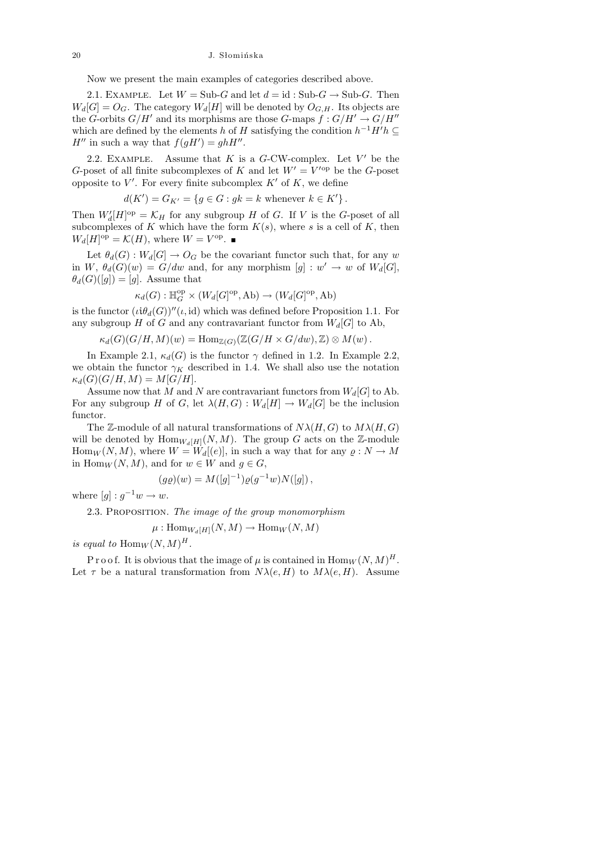Now we present the main examples of categories described above.

2.1. EXAMPLE. Let  $W = Sub-G$  and let  $d = id : Sub-G \rightarrow Sub-G$ . Then  $W_d[G] = O_G$ . The category  $W_d[H]$  will be denoted by  $O_{G,H}$ . Its objects are the G-orbits  $G/H'$  and its morphisms are those G-maps  $\ddot{f} : G/H' \to G/H''$ which are defined by the elements h of H satisfying the condition  $h^{-1}H'h \subseteq$  $H''$  in such a way that  $f(gH') = ghH''$ .

2.2. EXAMPLE. Assume that  $K$  is a  $G$ -CW-complex. Let  $V'$  be the G-poset of all finite subcomplexes of K and let  $W' = V'^{\text{op}}$  be the G-poset opposite to  $V'$ . For every finite subcomplex  $K'$  of  $K$ , we define

$$
d(K') = G_{K'} = \{ g \in G : gk = k \text{ whenever } k \in K' \}.
$$

Then  $W_d'[H]^\text{op} = \mathcal{K}_H$  for any subgroup H of G. If V is the G-poset of all subcomplexes of K which have the form  $K(s)$ , where s is a cell of K, then  $W_d[H]^\text{op} = \mathcal{K}(H)$ , where  $W = V^\text{op}$ .

Let  $\theta_d(G): W_d[G] \to O_G$  be the covariant functor such that, for any w in  $W$ ,  $\theta_d(G)(w) = G/dw$  and, for any morphism  $[g] : w' \to w$  of  $W_d[G]$ ,  $\theta_d(G)([g]) = [g]$ . Assume that

$$
\kappa_d(G): \mathbb{H}_G^{\rm op} \times (W_d[G]^{\rm op},\mathsf{Ab}) \to (W_d[G]^{\rm op},\mathsf{Ab})
$$

is the functor  $(i\theta_d(G))''(\iota, id)$  which was defined before Proposition 1.1. For any subgroup H of G and any contravariant functor from  $W_d[G]$  to Ab,

$$
\kappa_d(G)(G/H, M)(w) = \text{Hom}_{\mathbb{Z}(G)}(\mathbb{Z}(G/H \times G/dw), \mathbb{Z}) \otimes M(w).
$$

In Example 2.1,  $\kappa_d(G)$  is the functor  $\gamma$  defined in 1.2. In Example 2.2, we obtain the functor  $\gamma_K$  described in 1.4. We shall also use the notation  $\kappa_d(G)(G/H, M) = M[G/H].$ 

Assume now that M and N are contravariant functors from  $W_d[G]$  to Ab. For any subgroup H of G, let  $\lambda(H, G) : W_d[H] \to W_d[G]$  be the inclusion functor.

The Z-module of all natural transformations of  $N\lambda(H, G)$  to  $M\lambda(H, G)$ will be denoted by  $\text{Hom}_{W_d[H]}(N,M)$ . The group G acts on the Z-module Hom $_W(N, M)$ , where  $W = W_d[(e)]$ , in such a way that for any  $\rho: N \to M$ in Hom $_W(N, M)$ , and for  $w \in W$  and  $g \in G$ ,

$$
(g\varrho)(w) = M([g]^{-1})\varrho(g^{-1}w)N([g])\,,
$$

where  $[g] : g^{-1}w \to w$ .

2.3. PROPOSITION. The image of the group monomorphism

 $\mu: \mathrm{Hom}_{W_d[H]}(N,M) \to \mathrm{Hom}_W(N,M)$ 

is equal to  $\text{Hom}_W(N,M)^H$ .

P r o o f. It is obvious that the image of  $\mu$  is contained in  $\text{Hom}_W(N,M)^H$ . Let  $\tau$  be a natural transformation from  $N\lambda(e, H)$  to  $M\lambda(e, H)$ . Assume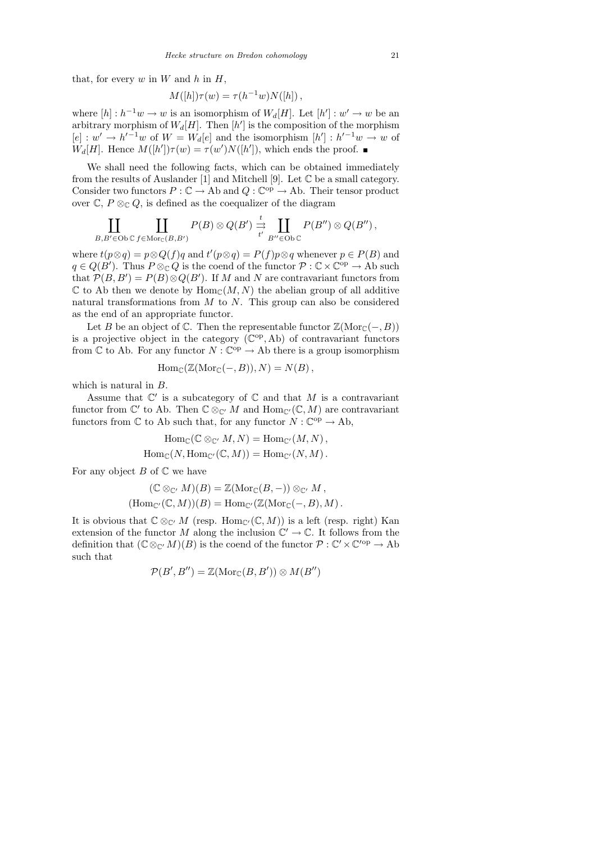that, for every  $w$  in  $W$  and  $h$  in  $H$ ,

$$
M([h])\tau(w) = \tau(h^{-1}w)N([h]),
$$

where  $[h]: h^{-1}w \to w$  is an isomorphism of  $W_d[H]$ . Let  $[h']: w' \to w$  be an arbitrary morphism of  $W_d[H]$ . Then  $[h']$  is the composition of the morphism  $[e] : w' \to h'^{-1}w$  of  $W = W_d[e]$  and the isomorphism  $[h'] : h'^{-1}w \to w$  of  $W_d[H]$ . Hence  $M([h'])\tau(w) = \tau(w')N([h'])$ , which ends the proof.

We shall need the following facts, which can be obtained immediately from the results of Auslander [1] and Mitchell [9]. Let  $\mathbb C$  be a small category. Consider two functors  $P : \mathbb{C} \to \mathbb{A}$ b and  $Q : \mathbb{C}^{\text{op}} \to \mathbb{A}$ b. Their tensor product over  $\mathbb{C}, P \otimes_{\mathbb{C}} Q$ , is defined as the coequalizer of the diagram

$$
\coprod_{B,B'\in \mathrm{Ob}\, \mathbb{C}} \coprod_{f\in \mathrm{Mor}_{\mathbb{C}}(B,B')} P(B)\otimes Q(B') \xrightarrow[t' \coprod_{B''\in \mathrm{Ob}\, \mathbb{C}} P(B'')\otimes Q(B'') ,
$$

where  $t(p \otimes q) = p \otimes Q(f)q$  and  $t'(p \otimes q) = P(f)p \otimes q$  whenever  $p \in P(B)$  and  $q \in Q(B')$ . Thus  $P \otimes_{\mathbb{C}} Q$  is the coend of the functor  $\mathcal{P} : \mathbb{C} \times \mathbb{C}^{\mathrm{op}} \to \mathrm{Ab}$  such that  $\mathcal{P}(B, B') = P(B) \otimes Q(B')$ . If M and N are contravariant functors from  $\mathbb C$  to Ab then we denote by  $\text{Hom}_{\mathbb C}(M,N)$  the abelian group of all additive natural transformations from  $M$  to  $N$ . This group can also be considered as the end of an appropriate functor.

Let B be an object of  $\mathbb C$ . Then the representable functor  $\mathbb Z(\mathrm{Mor}_{\mathbb C}(-, B))$ is a projective object in the category  $(\mathbb{C}^{\text{op}}, \text{Ab})$  of contravariant functors from  $\mathbb C$  to Ab. For any functor  $N : \mathbb C^{op} \to \text{Ab}$  there is a group isomorphism

$$
Hom_{\mathbb{C}}(\mathbb{Z}(\mathrm{Mor}_{\mathbb{C}}(-,B)),N)=N(B),
$$

which is natural in B.

Assume that  $\mathbb{C}'$  is a subcategory of  $\mathbb C$  and that M is a contravariant functor from  $\mathbb{C}'$  to Ab. Then  $\mathbb{C} \otimes_{\mathbb{C}'} M$  and  $\text{Hom}_{\mathbb{C}'}(\mathbb{C}, M)$  are contravariant functors from  $\mathbb C$  to Ab such that, for any functor  $N : \mathbb C^{op} \to \text{Ab}$ ,

$$
Hom_{\mathbb{C}}(\mathbb{C} \otimes_{\mathbb{C}'} M, N) = Hom_{\mathbb{C}'}(M, N),
$$
  

$$
Hom_{\mathbb{C}}(N, Hom_{\mathbb{C}'}(\mathbb{C}, M)) = Hom_{\mathbb{C}'}(N, M).
$$

For any object  $B$  of  $\mathbb C$  we have

$$
(\mathbb{C} \otimes_{\mathbb{C}'} M)(B) = \mathbb{Z}(\text{Mor}_{\mathbb{C}}(B, -)) \otimes_{\mathbb{C}'} M,
$$
  
\n
$$
(\text{Hom}_{\mathbb{C}'}(\mathbb{C}, M))(B) = \text{Hom}_{\mathbb{C}'}(\mathbb{Z}(\text{Mor}_{\mathbb{C}}(-, B), M).
$$

It is obvious that  $\mathbb{C} \otimes_{\mathbb{C}'} M$  (resp. Hom $_{\mathbb{C}'}(\mathbb{C}, M)$ ) is a left (resp. right) Kan extension of the functor M along the inclusion  $\mathbb{C}' \to \mathbb{C}$ . It follows from the definition that  $(\mathbb{C} \otimes_{\mathbb{C}'} M)(B)$  is the coend of the functor  $\mathcal{P} : \mathbb{C}' \times \mathbb{C}'^{op} \to \text{Ab}$ such that

$$
\mathcal{P}(B',B'')=\mathbb{Z}(\mathrm{Mor}_{\mathbb{C}}(B,B'))\otimes M(B'')
$$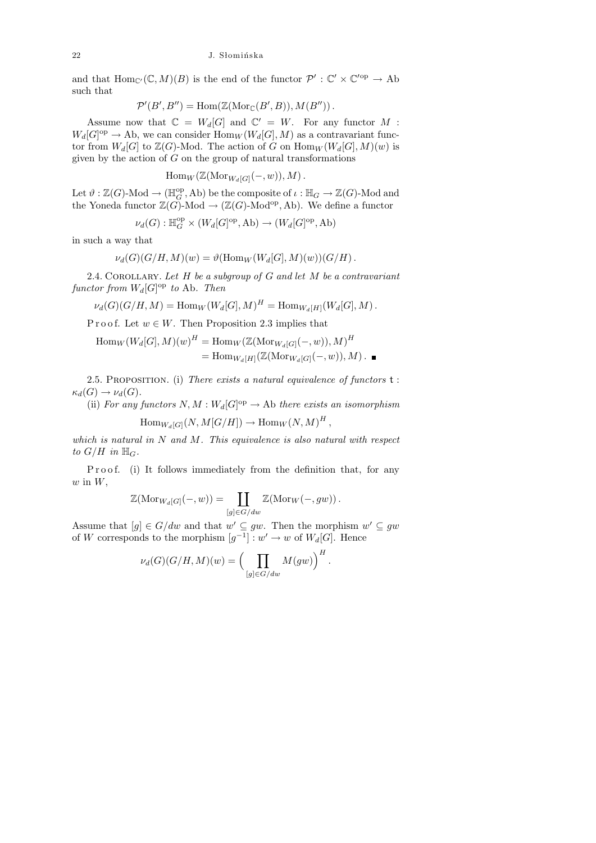and that  $\text{Hom}_{\mathbb{C}'}(\mathbb{C}, M)(B)$  is the end of the functor  $\mathcal{P}' : \mathbb{C}' \times \mathbb{C}'^{\text{op}} \to \text{Ab}$ such that

$$
\mathcal{P}'(B',B'')=\text{Hom}(\mathbb{Z}(\text{Mor}_{\mathbb{C}}(B',B)),M(B'')).
$$

Assume now that  $\mathbb{C} = W_d[G]$  and  $\mathbb{C}' = W$ . For any functor M:  $W_d[G]^{\text{op}} \to \text{Ab}$ , we can consider  $\text{Hom}_W(W_d[G], M)$  as a contravariant functor from  $W_d[G]$  to  $\mathbb{Z}(G)$ -Mod. The action of G on  $\text{Hom}_W(W_d[G], M)(w)$  is given by the action of  $G$  on the group of natural transformations

$$
\operatorname{Hom}_W(\mathbb{Z}(\operatorname{Mor}_{W_d[G]}(-,w)),M).
$$

Let  $\vartheta : \mathbb{Z}(G)$ -Mod  $\to (\mathbb{H}_G^{\text{op}}, \text{Ab})$  be the composite of  $\iota : \mathbb{H}_G \to \mathbb{Z}(G)$ -Mod and the Yoneda functor  $\mathbb{Z}(G)$ -Mod  $\to (\mathbb{Z}(G)$ -Mod<sup>op</sup>, Ab). We define a functor

$$
\nu_d(G): \mathbb{H}_G^{\rm op} \times (W_d[G]^{\rm op}, \text{Ab}) \to (W_d[G]^{\rm op}, \text{Ab})
$$

in such a way that

$$
\nu_d(G)(G/H, M)(w) = \vartheta(\mathrm{Hom}_W(W_d[G], M)(w))(G/H) .
$$

2.4. COROLLARY. Let  $H$  be a subgroup of  $G$  and let  $M$  be a contravariant functor from  $W_d[G]^{op}$  to Ab. Then

$$
\nu_d(G)(G/H, M) = \text{Hom}_W(W_d[G], M)^H = \text{Hom}_{W_d[H]}(W_d[G], M) .
$$

P r o o f. Let  $w \in W$ . Then Proposition 2.3 implies that

$$
\text{Hom}_W(W_d[G], M)(w)^H = \text{Hom}_W(\mathbb{Z}(\text{Mor}_{W_d[G]}(-, w)), M)^H
$$

$$
= \text{Hom}_{W_d[H]}(\mathbb{Z}(\text{Mor}_{W_d[G]}(-, w)), M) . \blacksquare
$$

2.5. PROPOSITION. (i) There exists a natural equivalence of functors  $t$ :  $\kappa_d(G) \to \nu_d(G)$ .

(ii) For any functors  $N, M : W_d[G]^{op} \to \text{Ab}$  there exists an isomorphism

$$
\operatorname{Hom}_{W_d[G]}(N,M[G/H]) \to \operatorname{Hom}_W(N,M)^H,
$$

which is natural in  $N$  and  $M$ . This equivalence is also natural with respect to  $G/H$  in  $\mathbb{H}_G$ .

P r o o f. (i) It follows immediately from the definition that, for any  $w$  in  $W$ ,

$$
\mathbb{Z}(\mathrm{Mor}_{W_d[G]}(-, w)) = \coprod_{[g] \in G/ dw} \mathbb{Z}(\mathrm{Mor}_W(-, gw)).
$$

Assume that  $[g] \in G/dw$  and that  $w' \subseteq gw$ . Then the morphism  $w' \subseteq gw$ of W corresponds to the morphism  $[g^{-1}] : w' \to w$  of  $W_d[G]$ . Hence

$$
\nu_d(G)(G/H, M)(w) = \left(\prod_{[g] \in G/dw} M(gw)\right)^H
$$

.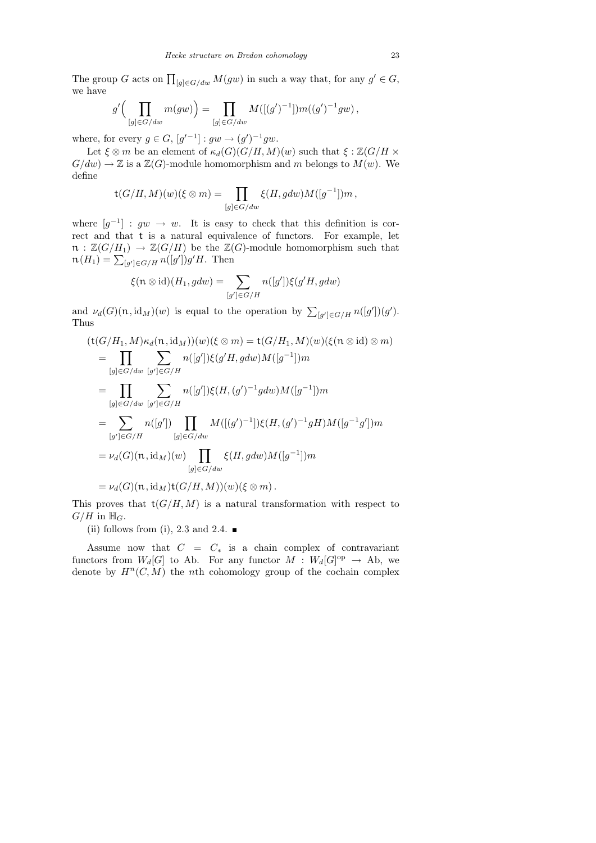The group G acts on  $\prod_{[g] \in G/dw} M(gw)$  in such a way that, for any  $g' \in G$ , we have

$$
g'\bigg(\prod_{[g]\in G/ dw} m(gw)\bigg) = \prod_{[g]\in G/ dw} M([(g')^{-1}])m((g')^{-1}gw),
$$

where, for every  $g \in G$ ,  $[g'^{-1}] : gw \to (g')^{-1}gw$ .

Let  $\xi \otimes m$  be an element of  $\kappa_d(G)(G/H, M)(w)$  such that  $\xi : \mathbb{Z}(G/H \times$  $G/dw$   $\rightarrow \mathbb{Z}$  is a  $\mathbb{Z}(G)$ -module homomorphism and m belongs to  $M(w)$ . We define

$$
\mathsf t (G/H, M)(w)(\xi \otimes m) = \prod_{[g] \in G/ dw} \xi(H, gdw) M([g^{-1}]) m\,,
$$

where  $[g^{-1}] : gw \rightarrow w$ . It is easy to check that this definition is correct and that t is a natural equivalence of functors. For example, let  $\mathfrak{n} : \mathbb{Z}(G/H_1) \to \mathbb{Z}(G/H)$  be the  $\mathbb{Z}(G)$ -module homomorphism such that  $\mathfrak{n}(H_1) = \sum_{[g'] \in G/H} n([g'])g'H.$  Then

$$
\xi(\mathfrak{n}\otimes\mathrm{id})(H_1,gdw)=\sum_{[g']\in G/H}n([g'])\xi(g'H,gdw)
$$

and  $\nu_d(G)(\mathfrak{n}, \mathrm{id}_M)(w)$  is equal to the operation by  $\sum_{[g'] \in G/H} n([g']) (g')$ . Thus

$$
(\mathsf{t}(G/H_1, M)\kappa_d(\mathfrak{n}, \mathrm{id}_M))(w)(\xi \otimes m) = \mathsf{t}(G/H_1, M)(w)(\xi(\mathfrak{n} \otimes \mathrm{id}) \otimes m)
$$
  
\n
$$
= \prod_{[g] \in G/dw} \sum_{[g'] \in G/H} n([g'])\xi(g'H, gdw)M([g^{-1}])m
$$
  
\n
$$
= \prod_{[g] \in G/dw} \sum_{[g'] \in G/H} n([g'])\xi(H, (g')^{-1}gdw)M([g^{-1}])m
$$
  
\n
$$
= \sum_{[g'] \in G/H} n([g']) \prod_{[g] \in G/dw} M([(g')^{-1}]\xi(H, (g')^{-1}gH)M([g^{-1}g'])m
$$
  
\n
$$
= \nu_d(G)(\mathfrak{n}, \mathrm{id}_M)(w) \prod_{[g] \in G/dw} \xi(H, gdw)M([g^{-1}])m
$$
  
\n
$$
= \nu_d(G)(\mathfrak{n}, \mathrm{id}_M)\mathsf{t}(G/H, M))(w)(\xi \otimes m).
$$

This proves that  $\mathsf{t}(G/H, M)$  is a natural transformation with respect to  $G/H$  in  $\mathbb{H}_G$ .

(ii) follows from (i), 2.3 and 2.4.  $\blacksquare$ 

Assume now that  $C = C_*$  is a chain complex of contravariant functors from  $W_d[G]$  to Ab. For any functor  $M : W_d[G]^{op} \to Ab$ , we denote by  $H^n(C, M)$  the nth cohomology group of the cochain complex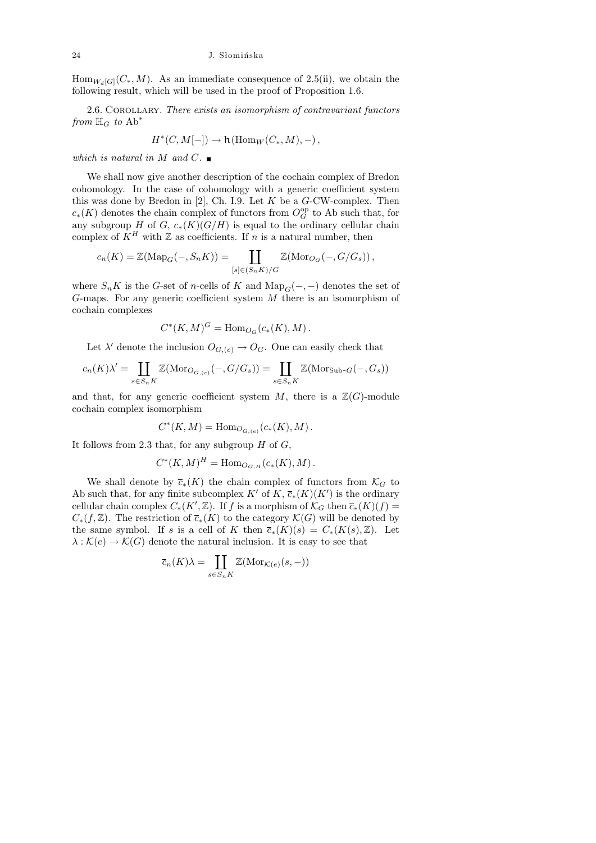$\text{Hom}_{W_d[G]}(C_*, M)$ . As an immediate consequence of 2.5(ii), we obtain the following result, which will be used in the proof of Proposition 1.6.

2.6. COROLLARY. There exists an isomorphism of contravariant functors from  $\mathbb{H}_G$  to  $\text{Ab}^*$ 

$$
H^*(C, M[-]) \to \mathsf{h}(\mathrm{Hom}_W(C_*, M), -),
$$

which is natural in M and C.  $\blacksquare$ 

We shall now give another description of the cochain complex of Bredon cohomology. In the case of cohomology with a generic coefficient system this was done by Bredon in  $[2]$ , Ch. I.9. Let K be a G-CW-complex. Then  $c_*(K)$  denotes the chain complex of functors from  $O_G^{\rm op}$  to Ab such that, for any subgroup H of G,  $c_*(K)(G/H)$  is equal to the ordinary cellular chain complex of  $K^H$  with Z as coefficients. If n is a natural number, then

$$
c_n(K) = \mathbb{Z}(\mathrm{Map}_G(-, S_n K)) = \coprod_{[s] \in (S_n K)/G} \mathbb{Z}(\mathrm{Mor}_{O_G}(-, G/G_s)),
$$

where  $S_n K$  is the G-set of n-cells of K and  $\text{Map}_G(-, -)$  denotes the set of  $G$ -maps. For any generic coefficient system  $M$  there is an isomorphism of cochain complexes

$$
C^*(K,M)^G = \operatorname{Hom}_{O_G}(c_*(K),M).
$$

Let  $\lambda'$  denote the inclusion  $O_{G,(e)} \to O_G$ . One can easily check that

$$
c_n(K)\lambda' = \coprod_{s \in S_nK} \mathbb{Z}(\mathrm{Mor}_{O_{G,(e)}}(-,G/G_s)) = \coprod_{s \in S_nK} \mathbb{Z}(\mathrm{Mor}_{\mathrm{Sub-}G}(-,G_s))
$$

and that, for any generic coefficient system  $M$ , there is a  $\mathbb{Z}(G)$ -module cochain complex isomorphism

$$
C^*(K, M) = \text{Hom}_{O_{G, (e)}}(c_*(K), M) .
$$

It follows from 2.3 that, for any subgroup  $H$  of  $G$ ,

$$
C^*(K, M)^H = \text{Hom}_{O_{G,H}}(c_*(K), M).
$$

We shall denote by  $\bar{c}_*(K)$  the chain complex of functors from  $\mathcal{K}_G$  to Ab such that, for any finite subcomplex  $K'$  of  $K$ ,  $\overline{c}_*(K)(K')$  is the ordinary cellular chain complex  $C_*(K',\mathbb{Z})$ . If f is a morphism of  $\mathcal{K}_G$  then  $\overline{c}_*(K)(f) =$  $C_*(f,\mathbb{Z})$ . The restriction of  $\overline{c}_*(K)$  to the category  $\mathcal{K}(G)$  will be denoted by the same symbol. If s is a cell of K then  $\overline{c}_*(K)(s) = C_*(K(s), \mathbb{Z})$ . Let  $\lambda : \mathcal{K}(e) \to \mathcal{K}(G)$  denote the natural inclusion. It is easy to see that

$$
\overline{c}_n(K)\lambda = \coprod_{s \in S_nK} \mathbb{Z}(\mathrm{Mor}_{\mathcal{K}(e)}(s,-))
$$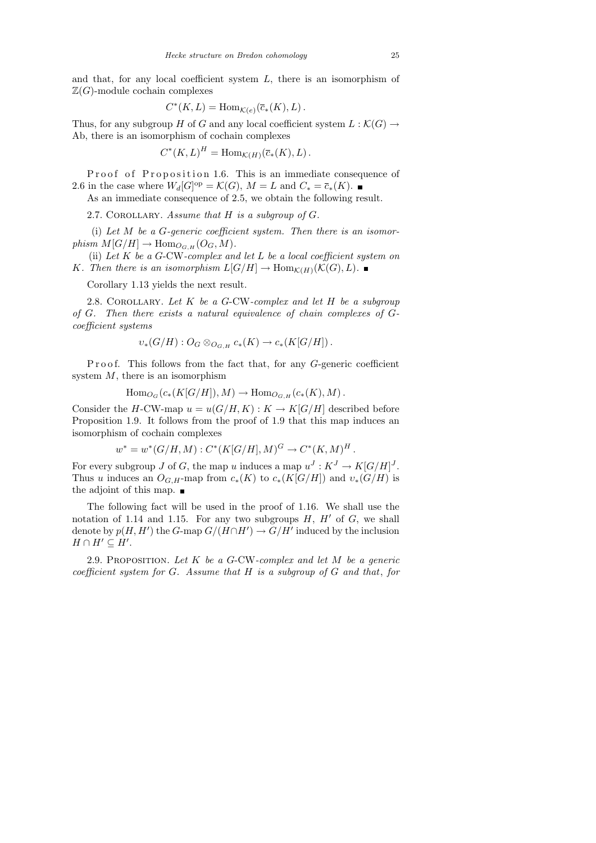and that, for any local coefficient system  $L$ , there is an isomorphism of  $\mathbb{Z}(G)$ -module cochain complexes

$$
C^*(K,L) = \text{Hom}_{\mathcal{K}(e)}(\overline{c}_*(K),L).
$$

Thus, for any subgroup H of G and any local coefficient system  $L : \mathcal{K}(G) \to$ Ab, there is an isomorphism of cochain complexes

 $C^*(K, L)^H = \text{Hom}_{\mathcal{K}(H)}(\overline{c}_*(K), L).$ 

Proof of Proposition 1.6. This is an immediate consequence of 2.6 in the case where  $W_d[G]^\text{op} = \mathcal{K}(G)$ ,  $M = L$  and  $C_* = \overline{c}_*(K)$ .

As an immediate consequence of 2.5, we obtain the following result.

2.7. COROLLARY. Assume that  $H$  is a subgroup of  $G$ .

(i) Let  $M$  be a  $G$ -generic coefficient system. Then there is an isomorphism  $M[G/H] \to \text{Hom}_{O_{G,H}}(O_G, M)$ .

(ii) Let  $K$  be a G-CW-complex and let  $L$  be a local coefficient system on K. Then there is an isomorphism  $L[G/H] \to \text{Hom}_{\mathcal{K}(H)}(\mathcal{K}(G), L)$ .

Corollary 1.13 yields the next result.

2.8. COROLLARY. Let  $K$  be a G-CW-complex and let  $H$  be a subgroup of G. Then there exists a natural equivalence of chain complexes of Gcoefficient systems

$$
\upsilon_*(G/H):O_G\otimes_{O_{G,H}}c_*(K)\to c_*(K[G/H]).
$$

P r o o f. This follows from the fact that, for any G-generic coefficient system  $M$ , there is an isomorphism

$$
\mathrm{Hom}_{O_G}(c_*(K[G/H]), M) \to \mathrm{Hom}_{O_{G,H}}(c_*(K), M).
$$

Consider the H-CW-map  $u = u(G/H, K) : K \to K[G/H]$  described before Proposition 1.9. It follows from the proof of 1.9 that this map induces an isomorphism of cochain complexes

$$
w^* = w^*(G/H, M) : C^*(K[G/H], M)^G \to C^*(K, M)^H.
$$

For every subgroup J of G, the map u induces a map  $u^J: K^J \to K[G/H]^J$ . Thus u induces an  $O_{G,H}$ -map from  $c_*(K)$  to  $c_*(K[G/H])$  and  $v_*(G/H)$  is the adjoint of this map.  $\blacksquare$ 

The following fact will be used in the proof of 1.16. We shall use the notation of 1.14 and 1.15. For any two subgroups  $H, H'$  of  $G$ , we shall denote by  $p(H, H')$  the G-map  $G/(H \cap H') \to G/H'$  induced by the inclusion  $H \cap H' \subseteq H'.$ 

2.9. PROPOSITION. Let  $K$  be a G-CW-complex and let  $M$  be a generic coefficient system for G. Assume that H is a subgroup of G and that, for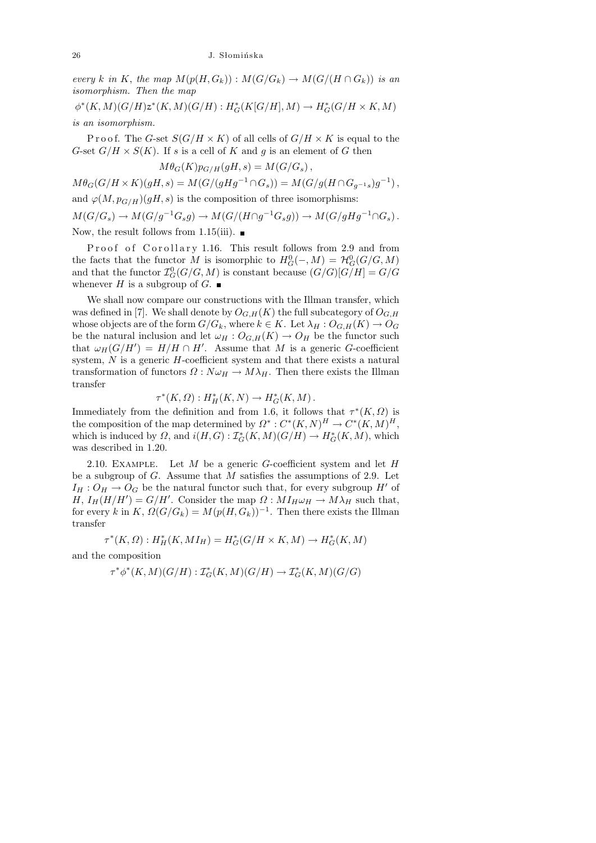every k in K, the map  $M(p(H, G_k)) : M(G/G_k) \to M(G/(H \cap G_k))$  is an isomorphism. Then the map

 $\phi^*(K, M)(G/H)z^*(K, M)(G/H) : H^*_G(K[G/H], M) \to H^*_G(G/H \times K, M)$ is an isomorphism.

Proof. The G-set  $S(G/H \times K)$  of all cells of  $G/H \times K$  is equal to the G-set  $G/H \times S(K)$ . If s is a cell of K and g is an element of G then

$$
M\theta_G(K)p_{G/H}(gH, s) = M(G/G_s),
$$

 $M\theta_G(G/H \times K)(gH, s) = M(G/(gHg^{-1} \cap G_s)) = M(G/g(H \cap G_{g^{-1}s})g^{-1}),$ and  $\varphi(M, p_{G/H})(gH, s)$  is the composition of three isomorphisms:  $M(G/G_s) \to M(G/g^{-1}G_sg) \to M(G/(H \cap g^{-1}G_sg)) \to M(G/gHg^{-1} \cap G_s).$ Now, the result follows from 1.15(iii).  $\blacksquare$ 

Proof of Corollary 1.16. This result follows from 2.9 and from the facts that the functor M is isomorphic to  $H_G^0(-, M) = \mathcal{H}_G^0(G/G, M)$ and that the functor  $\mathcal{I}_G^0(G/G,M)$  is constant because  $(G/G)[G/H] = G/G$ whenever H is a subgroup of G.  $\blacksquare$ 

We shall now compare our constructions with the Illman transfer, which was defined in [7]. We shall denote by  $O_{G,H}(K)$  the full subcategory of  $O_{G,H}$ whose objects are of the form  $G/G_k$ , where  $k \in K$ . Let  $\lambda_H : O_{G,H}(K) \to O_G$ be the natural inclusion and let  $\omega_H : O_{G,H}(K) \to O_H$  be the functor such that  $\omega_H(G/H') = H/H \cap H'$ . Assume that M is a generic G-coefficient system,  $N$  is a generic  $H$ -coefficient system and that there exists a natural transformation of functors  $\Omega : N \omega_H \to M \lambda_H$ . Then there exists the Illman transfer

$$
\tau^*(K,\Omega): H^*_H(K,N) \to H^*_G(K,M).
$$

Immediately from the definition and from 1.6, it follows that  $\tau^*(K, \Omega)$  is the composition of the map determined by  $\Omega^* : C^*(K,N)^H \to C^*(K,M)^H$ , which is induced by  $\Omega$ , and  $i(H, G) : \mathcal{I}_G^*(K, M)(G/H) \to H_G^*(K, M)$ , which was described in 1.20.

2.10. EXAMPLE. Let  $M$  be a generic  $G$ -coefficient system and let  $H$ be a subgroup of  $G$ . Assume that  $M$  satisfies the assumptions of 2.9. Let  $I_H: O_H \to O_G$  be the natural functor such that, for every subgroup H' of H,  $I_H(H/H') = G/H'$ . Consider the map  $\Omega : MI_H \omega_H \to M \lambda_H$  such that, for every k in K,  $\Omega(G/G_k) = M(p(H, G_k))^{-1}$ . Then there exists the Illman transfer

$$
\tau^*(K,\Omega): H^*_H(K,MI_H)=H^*_G(G/H\times K,M)\to H^*_G(K,M)
$$

and the composition

$$
\tau^*\phi^*(K,M)(G/H): \mathcal{I}^*_G(K,M)(G/H)\to \mathcal{I}^*_G(K,M)(G/G)
$$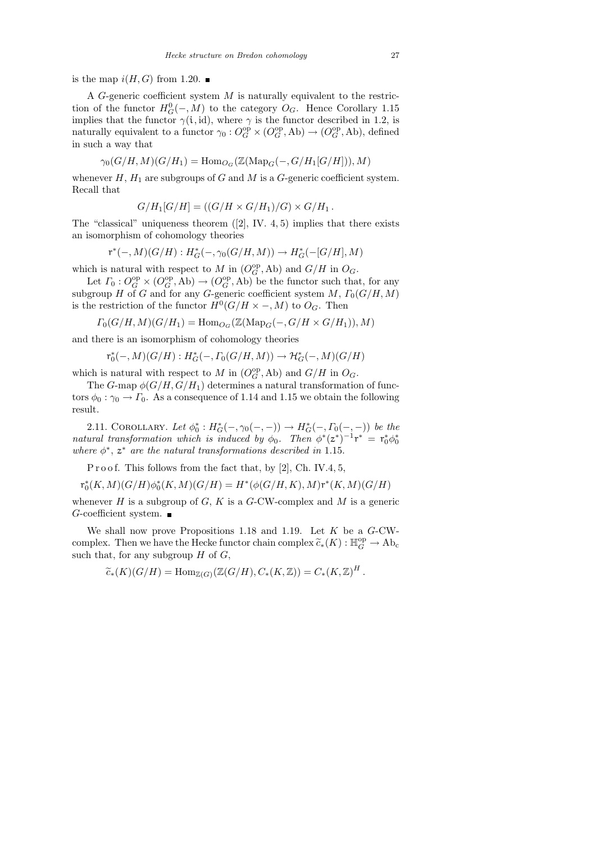is the map  $i(H, G)$  from 1.20.

A G-generic coefficient system  $M$  is naturally equivalent to the restriction of the functor  $H_G^0(-, M)$  to the category  $O_G$ . Hence Corollary 1.15 implies that the functor  $\gamma(i, id)$ , where  $\gamma$  is the functor described in 1.2, is naturally equivalent to a functor  $\gamma_0: O_G^{\rm op} \times (O_G^{\rm op}, \text{Ab}) \to (O_G^{\rm op}, \text{Ab})$ , defined in such a way that

$$
\gamma_0(G/H, M)(G/H_1) = \text{Hom}_{O_G}(\mathbb{Z}(\text{Map}_G(-, G/H_1[G/H])), M)
$$

whenever  $H$ ,  $H_1$  are subgroups of G and M is a G-generic coefficient system. Recall that

$$
G/H_1[G/H] = ((G/H \times G/H_1)/G) \times G/H_1.
$$

The "classical" uniqueness theorem  $(2, W. 4, 5)$  implies that there exists an isomorphism of cohomology theories

$$
\operatorname{r}^*(-,M)(G/H): H^*_G(-, \gamma_0(G/H, M)) \to H^*_G(-[G/H], M)
$$

which is natural with respect to M in  $(O_G^{\text{op}}, \text{Ab})$  and  $G/H$  in  $O_G$ .

Let  $\Gamma_0: O_G^{\rm op} \times (O_G^{\rm op}, \text{Ab}) \to (O_G^{\rm op}, \text{Ab})$  be the functor such that, for any subgroup H of G and for any G-generic coefficient system  $M$ ,  $\Gamma_0(G/H, M)$ is the restriction of the functor  $H^0(G/H \times -, M)$  to  $O_G$ . Then

$$
\Gamma_0(G/H, M)(G/H_1) = \text{Hom}_{O_G}(\mathbb{Z}(\text{Map}_G(-, G/H \times G/H_1)), M)
$$

and there is an isomorphism of cohomology theories

$$
r_0^*(-, M)(G/H): H^*_G(-, \Gamma_0(G/H, M)) \to \mathcal{H}^*_G(-, M)(G/H)
$$

which is natural with respect to M in  $(O_G^{\text{op}}, \text{Ab})$  and  $G/H$  in  $O_G$ .

The G-map  $\phi(G/H, G/H_1)$  determines a natural transformation of functors  $\phi_0 : \gamma_0 \to \Gamma_0$ . As a consequence of 1.14 and 1.15 we obtain the following result.

2.11. COROLLARY. Let  $\phi_0^*: H^*_G(-, \gamma_0(-, -)) \to H^*_G(-, \Gamma_0(-, -))$  be the natural transformation which is induced by  $\phi_0$ . Then  $\phi^*(z^*)^{-1}r^* = r_0^*\phi_0^*$ where  $\phi^*$ ,  $z^*$  are the natural transformations described in 1.15.

P r o o f. This follows from the fact that, by  $[2]$ , Ch. IV.4, 5,

$$
\mathrm{r}^*_0(K,M)(G/H)\phi_0^*(K,M)(G/H)=H^*(\phi(G/H,K),M)\mathrm{r}^*(K,M)(G/H)
$$

whenever  $H$  is a subgroup of  $G, K$  is a  $G$ -CW-complex and  $M$  is a generic  $G$ -coefficient system.

We shall now prove Propositions 1.18 and 1.19. Let  $K$  be a  $G$ -CWcomplex. Then we have the Hecke functor chain complex  $\widetilde{c}_*(K) : \mathbb{H}_G^{\rm op} \to \text{Ab}_c$ <br>such that, for any subgroup H of C such that, for any subgroup  $H$  of  $G$ ,

$$
\widetilde{c}_*(K)(G/H) = \mathrm{Hom}_{\mathbb{Z}(G)}(\mathbb{Z}(G/H), C_*(K,\mathbb{Z})) = C_*(K,\mathbb{Z})^H.
$$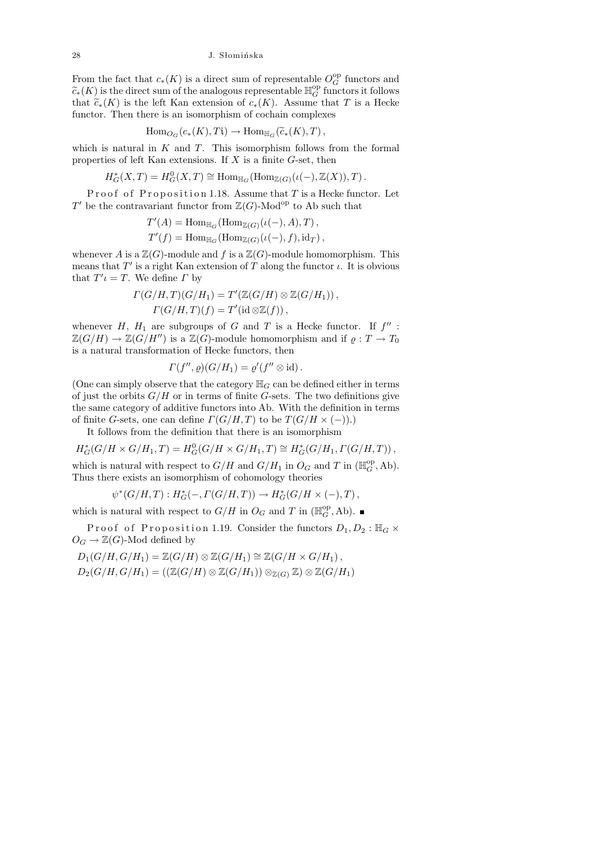From the fact that  $c_*(K)$  is a direct sum of representable  $O_G^{\rm op}$  functors and  $\widetilde{c}_*(K)$  is the direct sum of the analogous representable  $\mathbb{H}_G^{\text{op}}$  functors it follows<br>that  $\widetilde{c}_*(K)$  is the left Kan extension of  $c_K(K)$ . Assume that  $T$  is a Hocke that  $\tilde{c}_*(K)$  is the left Kan extension of  $c_*(K)$ . Assume that T is a Hecke functor. Then there is an isomorphism of cochain complexes

$$
\mathrm{Hom}_{O_G}(c_*(K), T\mathfrak{i}) \to \mathrm{Hom}_{\mathbb{H}_G}(\widetilde{c}_*(K), T),
$$

which is natural in  $K$  and  $T$ . This isomorphism follows from the formal properties of left Kan extensions. If X is a finite G-set, then

$$
H^*_{G}(X,T) = H^0_{G}(X,T) \cong \text{Hom}_{\mathbb{H}_G}(\text{Hom}_{\mathbb{Z}(G)}(\iota(-),\mathbb{Z}(X)),T).
$$

Proof of Proposition 1.18. Assume that  $T$  is a Hecke functor. Let T' be the contravariant functor from  $\mathbb{Z}(G)$ -Mod<sup>op</sup> to Ab such that

$$
T'(A) = \text{Hom}_{\mathbb{H}_G}(\text{Hom}_{\mathbb{Z}(G)}(\iota(-), A), T),
$$
  

$$
T'(f) = \text{Hom}_{\mathbb{H}_G}(\text{Hom}_{\mathbb{Z}(G)}(\iota(-), f), id_T),
$$

whenever A is a  $\mathbb{Z}(G)$ -module and f is a  $\mathbb{Z}(G)$ -module homomorphism. This means that  $T'$  is a right Kan extension of T along the functor  $\iota$ . It is obvious that  $T' \iota = T$ . We define  $\Gamma$  by

$$
\Gamma(G/H, T)(G/H_1) = T'(\mathbb{Z}(G/H) \otimes \mathbb{Z}(G/H_1)),
$$
  

$$
\Gamma(G/H, T)(f) = T'(\text{id} \otimes \mathbb{Z}(f)),
$$

whenever  $H$ ,  $H_1$  are subgroups of G and T is a Hecke functor. If  $f''$ :  $\mathbb{Z}(G/H) \to \mathbb{Z}(G/H'')$  is a  $\mathbb{Z}(G)$ -module homomorphism and if  $\varrho: T \to T_0$ is a natural transformation of Hecke functors, then

$$
\Gamma(f'',\varrho)(G/H_1)=\varrho'(f''\otimes\mathrm{id}).
$$

(One can simply observe that the category  $\mathbb{H}_G$  can be defined either in terms of just the orbits  $G/H$  or in terms of finite G-sets. The two definitions give the same category of additive functors into Ab. With the definition in terms of finite G-sets, one can define  $\Gamma(G/H, T)$  to be  $\Gamma(G/H \times (-))$ .)

It follows from the definition that there is an isomorphism

$$
H^*_G(G/H\times G/H_1,T)=H^0_G(G/H\times G/H_1,T)\cong H^*_G(G/H_1,\Gamma(G/H,T))\,,
$$

which is natural with respect to  $G/H$  and  $G/H_1$  in  $O_G$  and T in  $(\mathbb{H}_G^{\text{op}}, \text{Ab})$ . Thus there exists an isomorphism of cohomology theories

$$
\psi^*(G/H, T) : H^*_G(-, \Gamma(G/H, T)) \to H^*_G(G/H \times (-), T),
$$

which is natural with respect to  $G/H$  in  $O_G$  and T in  $(\mathbb{H}_G^{\text{op}}, \text{Ab})$ .

Proof of Proposition 1.19. Consider the functors  $D_1, D_2 : \mathbb{H}_G \times$  $O_G \to \mathbb{Z}(G)$ -Mod defined by

$$
D_1(G/H, G/H_1) = \mathbb{Z}(G/H) \otimes \mathbb{Z}(G/H_1) \cong \mathbb{Z}(G/H \times G/H_1),
$$
  
\n
$$
D_2(G/H, G/H_1) = ((\mathbb{Z}(G/H) \otimes \mathbb{Z}(G/H_1)) \otimes_{\mathbb{Z}(G)} \mathbb{Z}) \otimes \mathbb{Z}(G/H_1)
$$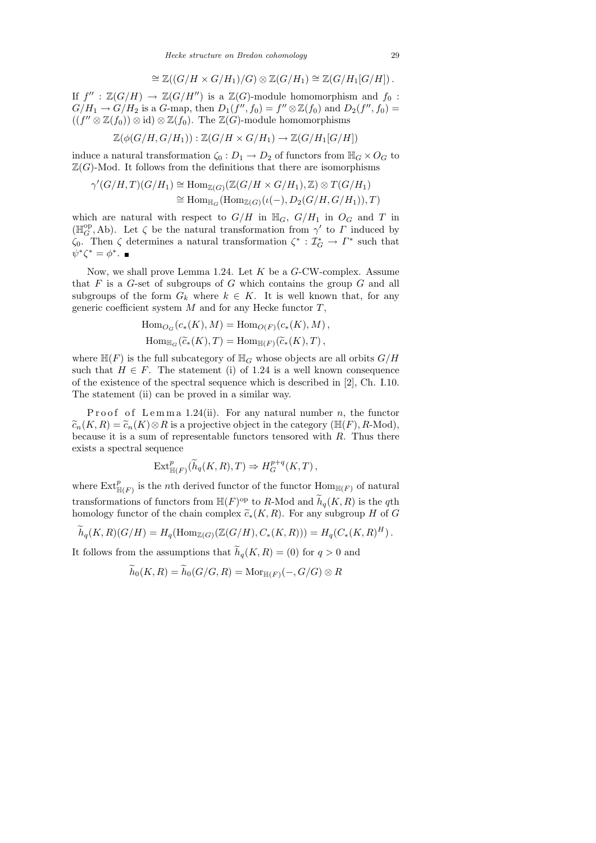$$
\cong \mathbb{Z}((G/H \times G/H_1)/G) \otimes \mathbb{Z}(G/H_1) \cong \mathbb{Z}(G/H_1[G/H]).
$$

If  $f'' : \mathbb{Z}(G/H) \to \mathbb{Z}(G/H'')$  is a  $\mathbb{Z}(G)$ -module homomorphism and  $f_0$ :  $G/H_1 \rightarrow G/H_2$  is a G-map, then  $D_1(f'', f_0) = f'' \otimes \mathbb{Z}(f_0)$  and  $D_2(f'', f_0) =$  $((f'' \otimes \mathbb{Z}(f_0)) \otimes id) \otimes \mathbb{Z}(f_0)$ . The  $\mathbb{Z}(G)$ -module homomorphisms

$$
\mathbb{Z}(\phi(G/H, G/H_1)) : \mathbb{Z}(G/H \times G/H_1) \to \mathbb{Z}(G/H_1[G/H])
$$

induce a natural transformation  $\zeta_0 : D_1 \to D_2$  of functors from  $\mathbb{H}_G \times O_G$  to  $\mathbb{Z}(G)$ -Mod. It follows from the definitions that there are isomorphisms

$$
\gamma'(G/H, T)(G/H_1) \cong \text{Hom}_{\mathbb{Z}(G)}(\mathbb{Z}(G/H \times G/H_1), \mathbb{Z}) \otimes T(G/H_1)
$$
  

$$
\cong \text{Hom}_{\mathbb{H}_G}(\text{Hom}_{\mathbb{Z}(G)}(\iota(-), D_2(G/H, G/H_1)), T)
$$

which are natural with respect to  $G/H$  in  $\mathbb{H}_G$ ,  $G/H_1$  in  $O_G$  and T in ( $\mathbb{H}_{G}^{\text{op}},$ Ab). Let ζ be the natural transformation from  $\gamma'$  to Γ induced by  $\zeta_0$ . Then  $\zeta$  determines a natural transformation  $\zeta^* : \mathcal{I}_G^* \to \Gamma^*$  such that  $\psi^*\zeta^* = \phi^*.$ 

Now, we shall prove Lemma 1.24. Let  $K$  be a  $G$ -CW-complex. Assume that  $F$  is a  $G$ -set of subgroups of  $G$  which contains the group  $G$  and all subgroups of the form  $G_k$  where  $k \in K$ . It is well known that, for any generic coefficient system  $M$  and for any Hecke functor  $T$ ,

$$
\text{Hom}_{O_G}(c_*(K), M) = \text{Hom}_{O(F)}(c_*(K), M),
$$
  
\n
$$
\text{Hom}_{\mathbb{H}_G}(\widetilde{c}_*(K), T) = \text{Hom}_{\mathbb{H}(F)}(\widetilde{c}_*(K), T),
$$

where  $\mathbb{H}(F)$  is the full subcategory of  $\mathbb{H}_G$  whose objects are all orbits  $G/H$ such that  $H \in F$ . The statement (i) of 1.24 is a well known consequence of the existence of the spectral sequence which is described in [2], Ch. I.10. The statement (ii) can be proved in a similar way.

Proof of Lemma 1.24(ii). For any natural number n, the functor  $\widetilde{c}_n(K, R) = \widetilde{c}_n(K) \otimes R$  is a projective object in the category ( $\mathbb{H}(F)$ , R-Mod), because it is a sum of representable functors tensored with  $R$ . Thus there exists a spectral sequence

$$
\operatorname{Ext}^p_{\mathbb{H}(F)}(\widetilde{h}_q(K,R),T)\Rightarrow H_G^{p+q}(K,T),
$$

where  $\mathrm{Ext}^p_{\mathbb{H}(F)}$  is the *n*th derived functor of the functor  $\mathrm{Hom}_{\mathbb{H}(F)}$  of natural transformations of functors from  $\mathbb{H}(F)^\text{op}$  to R-Mod and  $\widetilde{h}_q(K, R)$  is the qth homology functor of the chain complex  $\widetilde{c}_*(K, R)$ . For any subgroup H of G

$$
\widetilde{h}_q(K,R)(G/H) = H_q(\mathrm{Hom}_{\mathbb{Z}(G)}(\mathbb{Z}(G/H), C_*(K,R))) = H_q(C_*(K,R)^H).
$$

It follows from the assumptions that  $\widetilde{h}_q(K, R) = (0)$  for  $q > 0$  and

$$
\widetilde{h}_0(K,R) = \widetilde{h}_0(G/G,R) = \mathrm{Mor}_{\mathbb{H}(F)}(-,G/G) \otimes R
$$